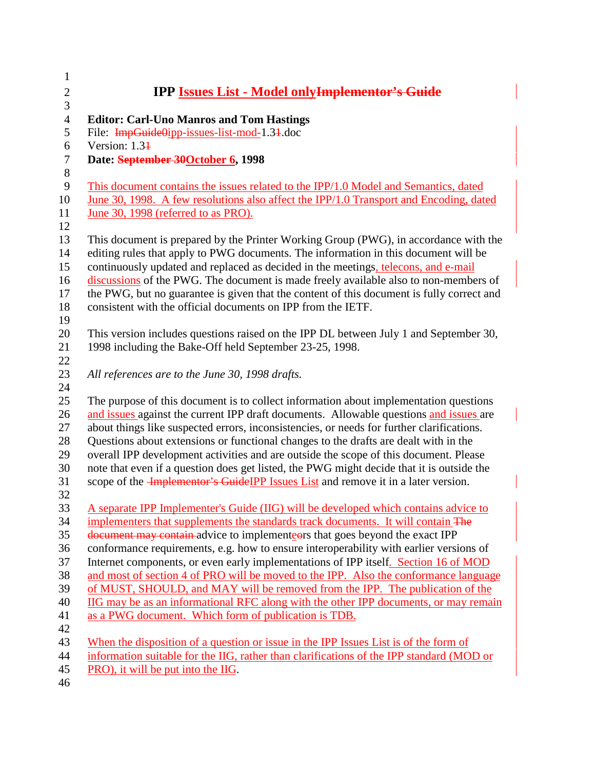| $\mathbf{1}$     |                                                                                           |
|------------------|-------------------------------------------------------------------------------------------|
| $\mathbf{2}$     | <b>IPP</b> Issues List - Model only Implementor's Guide                                   |
| 3                |                                                                                           |
| $\overline{4}$   | <b>Editor: Carl-Uno Manros and Tom Hastings</b>                                           |
| 5                | File: ImpGuide0ipp-issues-list-mod-1.34.doc                                               |
| 6                | Version: $1.34$                                                                           |
| $\boldsymbol{7}$ | Date: September 30 October 6, 1998                                                        |
| $8\,$            |                                                                                           |
| $\mathbf{9}$     | This document contains the issues related to the IPP/1.0 Model and Semantics, dated       |
| 10               | June 30, 1998. A few resolutions also affect the IPP/1.0 Transport and Encoding, dated    |
| 11               | June 30, 1998 (referred to as PRO).                                                       |
| 12               |                                                                                           |
| 13               | This document is prepared by the Printer Working Group (PWG), in accordance with the      |
| 14               | editing rules that apply to PWG documents. The information in this document will be       |
| 15               | continuously updated and replaced as decided in the meetings, telecons, and e-mail        |
| 16               | discussions of the PWG. The document is made freely available also to non-members of      |
| 17               | the PWG, but no guarantee is given that the content of this document is fully correct and |
| 18               | consistent with the official documents on IPP from the IETF.                              |
| 19               |                                                                                           |
| 20               | This version includes questions raised on the IPP DL between July 1 and September 30,     |
| 21               | 1998 including the Bake-Off held September 23-25, 1998.                                   |
| 22               |                                                                                           |
| 23               | All references are to the June 30, 1998 drafts.                                           |
| 24               |                                                                                           |
| 25               | The purpose of this document is to collect information about implementation questions     |
| 26               | and issues against the current IPP draft documents. Allowable questions and issues are    |
| 27               | about things like suspected errors, inconsistencies, or needs for further clarifications. |
| 28               | Questions about extensions or functional changes to the drafts are dealt with in the      |
| 29               | overall IPP development activities and are outside the scope of this document. Please     |
| 30               | note that even if a question does get listed, the PWG might decide that it is outside the |
| 31               | scope of the <b>Implementor's Guide IPP</b> Issues List and remove it in a later version. |
| 32               |                                                                                           |
| 33               | A separate IPP Implementer's Guide (IIG) will be developed which contains advice to       |
| 34               | implementers that supplements the standards track documents. It will contain The          |
| 35               | document may contain advice to implementeors that goes beyond the exact IPP               |
| 36               | conformance requirements, e.g. how to ensure interoperability with earlier versions of    |
| 37               | Internet components, or even early implementations of IPP itself. Section 16 of MOD       |
| 38               | and most of section 4 of PRO will be moved to the IPP. Also the conformance language      |
| 39               | of MUST, SHOULD, and MAY will be removed from the IPP. The publication of the             |
| 40               | IIG may be as an informational RFC along with the other IPP documents, or may remain      |
| 41<br>42         | as a PWG document. Which form of publication is TDB.                                      |
| 43               | When the disposition of a question or issue in the IPP Issues List is of the form of      |
| 44               | information suitable for the IIG, rather than clarifications of the IPP standard (MOD or  |
| 45               | PRO), it will be put into the IIG.                                                        |
| 46               |                                                                                           |
|                  |                                                                                           |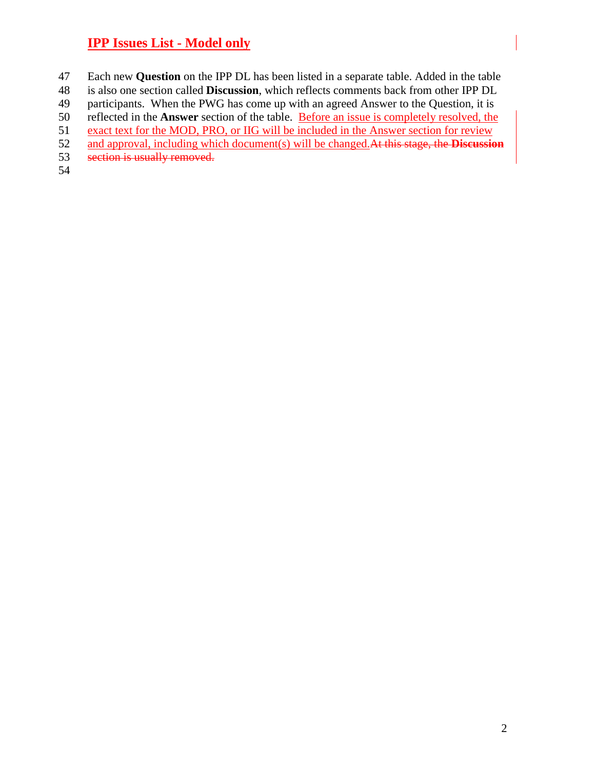Each new **Question** on the IPP DL has been listed in a separate table. Added in the table

is also one section called **Discussion**, which reflects comments back from other IPP DL

participants. When the PWG has come up with an agreed Answer to the Question, it is

reflected in the **Answer** section of the table. Before an issue is completely resolved, the

51 exact text for the MOD, PRO, or IIG will be included in the Answer section for review<br>52 and approval, including which document(s) will be changed. At this stage, the **Discussie** 

and approval, including which document(s) will be changed.At this stage, the **Discussion**

- section is usually removed.
-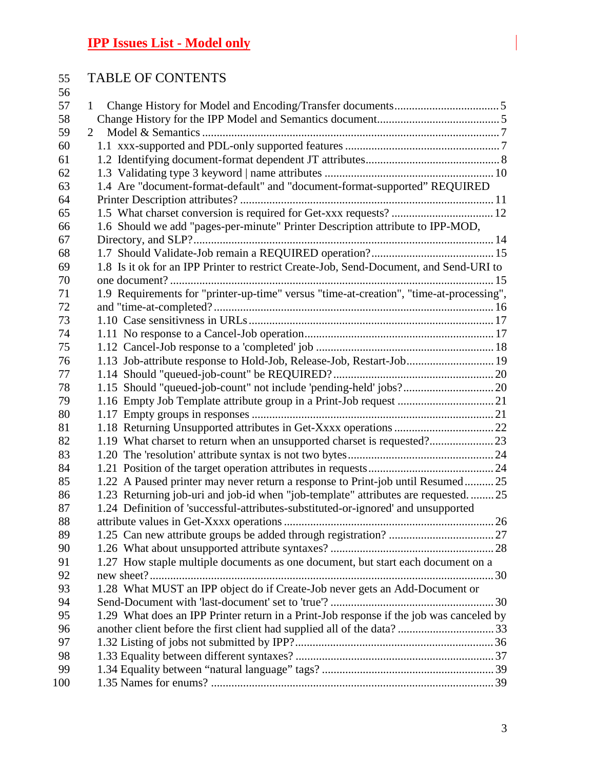## TABLE OF CONTENTS

| 56  |                                                                                         |
|-----|-----------------------------------------------------------------------------------------|
| 57  | $\mathbf{1}$                                                                            |
| 58  |                                                                                         |
| 59  | $\overline{2}$                                                                          |
| 60  |                                                                                         |
| 61  |                                                                                         |
| 62  |                                                                                         |
| 63  | 1.4 Are "document-format-default" and "document-format-supported" REQUIRED              |
| 64  |                                                                                         |
| 65  |                                                                                         |
| 66  | 1.6 Should we add "pages-per-minute" Printer Description attribute to IPP-MOD,          |
| 67  |                                                                                         |
| 68  |                                                                                         |
| 69  | 1.8 Is it ok for an IPP Printer to restrict Create-Job, Send-Document, and Send-URI to  |
| 70  |                                                                                         |
| 71  | 1.9 Requirements for "printer-up-time" versus "time-at-creation", "time-at-processing", |
| 72  |                                                                                         |
| 73  |                                                                                         |
| 74  |                                                                                         |
| 75  |                                                                                         |
| 76  | 1.13 Job-attribute response to Hold-Job, Release-Job, Restart-Job 19                    |
| 77  |                                                                                         |
| 78  |                                                                                         |
| 79  |                                                                                         |
| 80  |                                                                                         |
| 81  |                                                                                         |
| 82  |                                                                                         |
| 83  |                                                                                         |
| 84  |                                                                                         |
| 85  | 1.22 A Paused printer may never return a response to Print-job until Resumed25          |
| 86  | 1.23 Returning job-uri and job-id when "job-template" attributes are requested 25       |
| 87  | 1.24 Definition of 'successful-attributes-substituted-or-ignored' and unsupported       |
| 88  |                                                                                         |
| 89  |                                                                                         |
| 90  |                                                                                         |
| 91  | 1.27 How staple multiple documents as one document, but start each document on a        |
| 92  |                                                                                         |
| 93  | 1.28 What MUST an IPP object do if Create-Job never gets an Add-Document or             |
| 94  |                                                                                         |
| 95  | 1.29 What does an IPP Printer return in a Print-Job response if the job was canceled by |
| 96  |                                                                                         |
| 97  |                                                                                         |
| 98  |                                                                                         |
| 99  |                                                                                         |
| 100 |                                                                                         |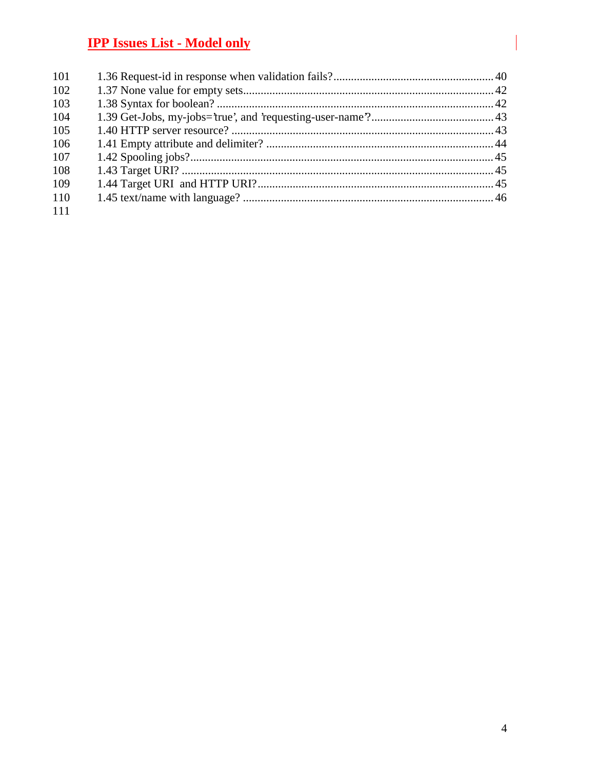| 101 |  |
|-----|--|
| 102 |  |
| 103 |  |
| 104 |  |
| 105 |  |
| 106 |  |
| 107 |  |
| 108 |  |
| 109 |  |
| 110 |  |
| 111 |  |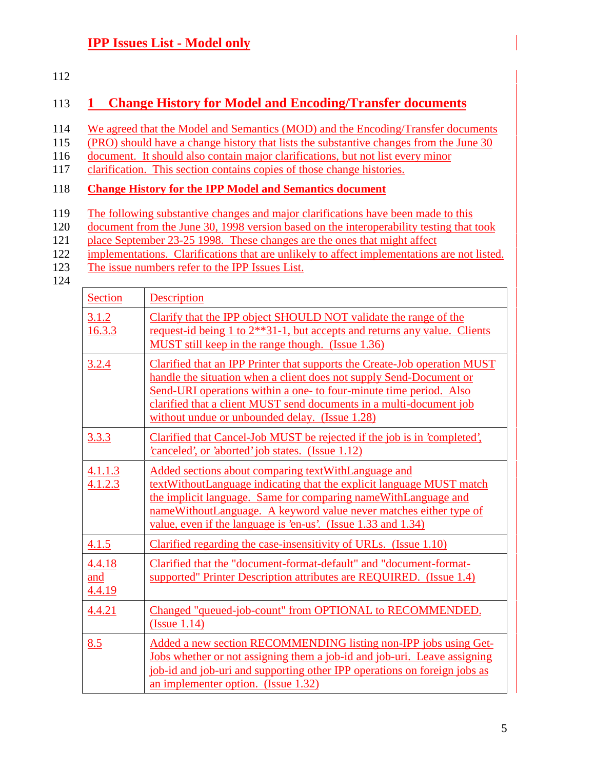#### 112

### 113 **1 Change History for Model and Encoding/Transfer documents**

114 We agreed that the Model and Semantics (MOD) and the Encoding/Transfer documents

115 (PRO) should have a change history that lists the substantive changes from the June 30

116 document. It should also contain major clarifications, but not list every minor

117 clarification. This section contains copies of those change histories.

### 118 **Change History for the IPP Model and Semantics document**

- 119 The following substantive changes and major clarifications have been made to this
- 120 document from the June 30, 1998 version based on the interoperability testing that took
- 121 place September 23-25 1998. These changes are the ones that might affect
- 122 implementations. Clarifications that are unlikely to affect implementations are not listed.
- 123 The issue numbers refer to the IPP Issues List.
- 124

| <b>Section</b>          | Description                                                                                                                                                                                                                                                                                                                                     |
|-------------------------|-------------------------------------------------------------------------------------------------------------------------------------------------------------------------------------------------------------------------------------------------------------------------------------------------------------------------------------------------|
| 3.1.2<br>16.3.3         | Clarify that the IPP object SHOULD NOT validate the range of the<br>request-id being 1 to 2**31-1, but accepts and returns any value. Clients<br>MUST still keep in the range though. (Issue 1.36)                                                                                                                                              |
| 3.2.4                   | Clarified that an IPP Printer that supports the Create-Job operation MUST<br>handle the situation when a client does not supply Send-Document or<br>Send-URI operations within a one- to four-minute time period. Also<br>clarified that a client MUST send documents in a multi-document job<br>without undue or unbounded delay. (Issue 1.28) |
| 3.3.3                   | Clarified that Cancel-Job MUST be rejected if the job is in 'completed'.<br>'canceled', or 'aborted' job states. (Issue 1.12)                                                                                                                                                                                                                   |
| 4.1.1.3<br>4.1.2.3      | Added sections about comparing textWithLanguage and<br>textWithoutLanguage indicating that the explicit language MUST match<br>the implicit language. Same for comparing nameWithLanguage and<br>nameWithoutLanguage. A keyword value never matches either type of<br>value, even if the language is 'en-us'. (Issue 1.33 and 1.34)             |
| 4.1.5                   | Clarified regarding the case-insensitivity of URLs. (Issue 1.10)                                                                                                                                                                                                                                                                                |
| 4.4.18<br>and<br>4.4.19 | Clarified that the "document-format-default" and "document-format-<br>supported" Printer Description attributes are REQUIRED. (Issue 1.4)                                                                                                                                                                                                       |
| 4.4.21                  | Changed "queued-job-count" from OPTIONAL to RECOMMENDED.<br>(Is sue 1.14)                                                                                                                                                                                                                                                                       |
| 8.5                     | Added a new section RECOMMENDING listing non-IPP jobs using Get-<br>Jobs whether or not assigning them a job-id and job-uri. Leave assigning<br>job-id and job-uri and supporting other IPP operations on foreign jobs as<br>an implementer option. (Issue 1.32)                                                                                |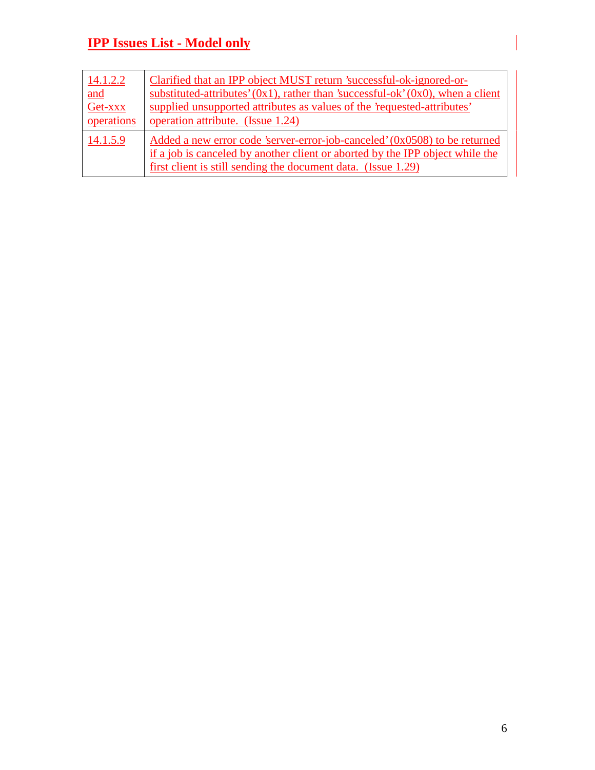| 14.1.2.2   | Clarified that an IPP object MUST return 'successful-ok-ignored-or-                                                                                                                                                          |
|------------|------------------------------------------------------------------------------------------------------------------------------------------------------------------------------------------------------------------------------|
| and        | substituted-attributes' $(0x1)$ , rather than 'successful-ok' $(0x0)$ , when a client                                                                                                                                        |
| Get-xxx    | supplied unsupported attributes as values of the 'requested-attributes'                                                                                                                                                      |
| operations | operation attribute. (Issue 1.24)                                                                                                                                                                                            |
| 14.1.5.9   | Added a new error code 'server-error-job-canceled' (0x0508) to be returned<br>if a job is canceled by another client or aborted by the IPP object while the<br>first client is still sending the document data. (Issue 1.29) |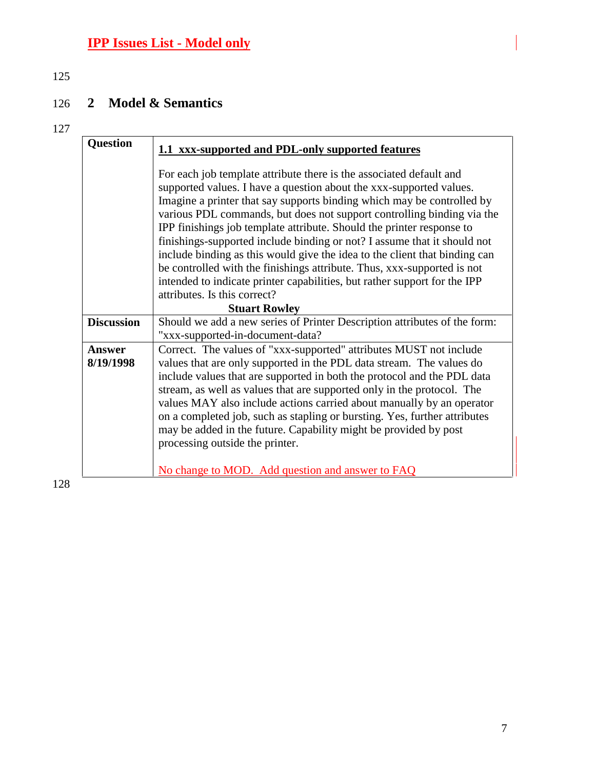### 125

## 126 **2 Model & Semantics**

| <b>Question</b>   | 1.1 xxx-supported and PDL-only supported features                                                                                                                                                                                                                                                                                                                                                                                                                                                                                                                                                                                                                                                                         |
|-------------------|---------------------------------------------------------------------------------------------------------------------------------------------------------------------------------------------------------------------------------------------------------------------------------------------------------------------------------------------------------------------------------------------------------------------------------------------------------------------------------------------------------------------------------------------------------------------------------------------------------------------------------------------------------------------------------------------------------------------------|
|                   | For each job template attribute there is the associated default and<br>supported values. I have a question about the xxx-supported values.<br>Imagine a printer that say supports binding which may be controlled by<br>various PDL commands, but does not support controlling binding via the<br>IPP finishings job template attribute. Should the printer response to<br>finishings-supported include binding or not? I assume that it should not<br>include binding as this would give the idea to the client that binding can<br>be controlled with the finishings attribute. Thus, xxx-supported is not<br>intended to indicate printer capabilities, but rather support for the IPP<br>attributes. Is this correct? |
|                   | <b>Stuart Rowley</b>                                                                                                                                                                                                                                                                                                                                                                                                                                                                                                                                                                                                                                                                                                      |
| <b>Discussion</b> | Should we add a new series of Printer Description attributes of the form:<br>"xxx-supported-in-document-data?                                                                                                                                                                                                                                                                                                                                                                                                                                                                                                                                                                                                             |
| Answer            | Correct. The values of "xxx-supported" attributes MUST not include                                                                                                                                                                                                                                                                                                                                                                                                                                                                                                                                                                                                                                                        |
| 8/19/1998         | values that are only supported in the PDL data stream. The values do<br>include values that are supported in both the protocol and the PDL data<br>stream, as well as values that are supported only in the protocol. The<br>values MAY also include actions carried about manually by an operator<br>on a completed job, such as stapling or bursting. Yes, further attributes<br>may be added in the future. Capability might be provided by post<br>processing outside the printer.<br>No change to MOD. Add question and answer to FAQ                                                                                                                                                                                |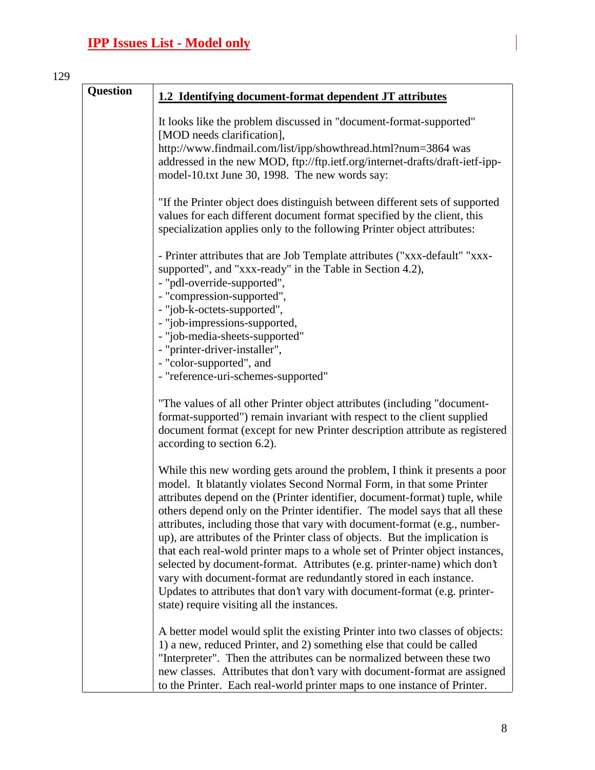| <b>Question</b> | 1.2 Identifying document-format dependent JT attributes                                                                                                                                                                                                                                                                                                                                                                                                                                                                                                                                                                                                                                                                                                                                                                                   |
|-----------------|-------------------------------------------------------------------------------------------------------------------------------------------------------------------------------------------------------------------------------------------------------------------------------------------------------------------------------------------------------------------------------------------------------------------------------------------------------------------------------------------------------------------------------------------------------------------------------------------------------------------------------------------------------------------------------------------------------------------------------------------------------------------------------------------------------------------------------------------|
|                 | It looks like the problem discussed in "document-format-supported"<br>[MOD needs clarification],<br>http://www.findmail.com/list/ipp/showthread.html?num=3864 was<br>addressed in the new MOD, ftp://ftp.ietf.org/internet-drafts/draft-ietf-ipp-<br>model-10.txt June 30, 1998. The new words say:                                                                                                                                                                                                                                                                                                                                                                                                                                                                                                                                       |
|                 | "If the Printer object does distinguish between different sets of supported<br>values for each different document format specified by the client, this<br>specialization applies only to the following Printer object attributes:                                                                                                                                                                                                                                                                                                                                                                                                                                                                                                                                                                                                         |
|                 | - Printer attributes that are Job Template attributes ("xxx-default" "xxx-<br>supported", and "xxx-ready" in the Table in Section 4.2),<br>- "pdl-override-supported",<br>- "compression-supported",<br>- "job-k-octets-supported",<br>- "job-impressions-supported,<br>- "job-media-sheets-supported"<br>- "printer-driver-installer",<br>- "color-supported", and<br>- "reference-uri-schemes-supported"                                                                                                                                                                                                                                                                                                                                                                                                                                |
|                 | "The values of all other Printer object attributes (including "document-<br>format-supported") remain invariant with respect to the client supplied<br>document format (except for new Printer description attribute as registered<br>according to section 6.2).                                                                                                                                                                                                                                                                                                                                                                                                                                                                                                                                                                          |
|                 | While this new wording gets around the problem, I think it presents a poor<br>model. It blatantly violates Second Normal Form, in that some Printer<br>attributes depend on the (Printer identifier, document-format) tuple, while<br>others depend only on the Printer identifier. The model says that all these<br>attributes, including those that vary with document-format (e.g., number-<br>up), are attributes of the Printer class of objects. But the implication is<br>that each real-wold printer maps to a whole set of Printer object instances,<br>selected by document-format. Attributes (e.g. printer-name) which don't<br>vary with document-format are redundantly stored in each instance.<br>Updates to attributes that don't vary with document-format (e.g. printer-<br>state) require visiting all the instances. |
|                 | A better model would split the existing Printer into two classes of objects:<br>1) a new, reduced Printer, and 2) something else that could be called<br>"Interpreter". Then the attributes can be normalized between these two<br>new classes. Attributes that don't vary with document-format are assigned<br>to the Printer. Each real-world printer maps to one instance of Printer.                                                                                                                                                                                                                                                                                                                                                                                                                                                  |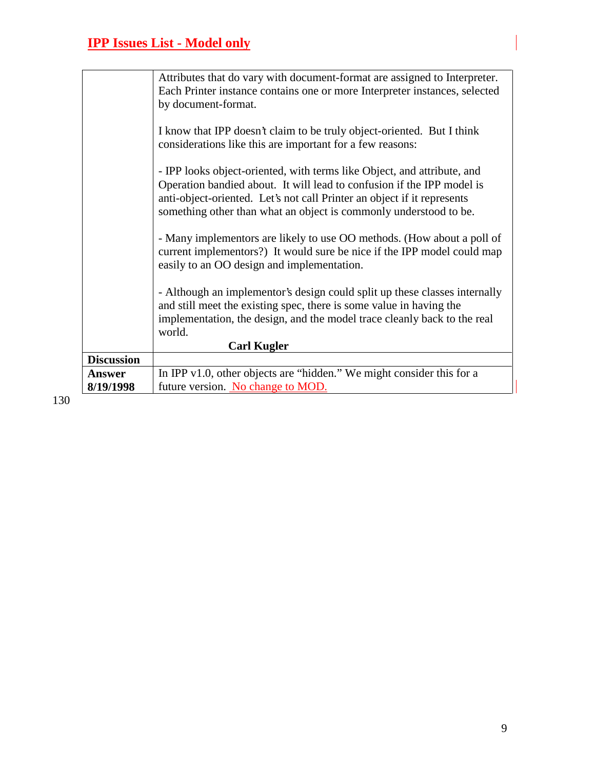|                   | Attributes that do vary with document-format are assigned to Interpreter.                                                                                                                                                                                                                         |
|-------------------|---------------------------------------------------------------------------------------------------------------------------------------------------------------------------------------------------------------------------------------------------------------------------------------------------|
|                   | Each Printer instance contains one or more Interpreter instances, selected                                                                                                                                                                                                                        |
|                   | by document-format.                                                                                                                                                                                                                                                                               |
|                   | I know that IPP doesn't claim to be truly object-oriented. But I think<br>considerations like this are important for a few reasons:                                                                                                                                                               |
|                   | - IPP looks object-oriented, with terms like Object, and attribute, and<br>Operation bandied about. It will lead to confusion if the IPP model is<br>anti-object-oriented. Let's not call Printer an object if it represents<br>something other than what an object is commonly understood to be. |
|                   | - Many implementors are likely to use OO methods. (How about a poll of<br>current implementors?) It would sure be nice if the IPP model could map<br>easily to an OO design and implementation.                                                                                                   |
|                   | - Although an implementor's design could split up these classes internally<br>and still meet the existing spec, there is some value in having the<br>implementation, the design, and the model trace cleanly back to the real<br>world.                                                           |
|                   | <b>Carl Kugler</b>                                                                                                                                                                                                                                                                                |
| <b>Discussion</b> |                                                                                                                                                                                                                                                                                                   |
| Answer            | In IPP $v1.0$ , other objects are "hidden." We might consider this for a                                                                                                                                                                                                                          |
| 8/19/1998         | future version. No change to MOD.                                                                                                                                                                                                                                                                 |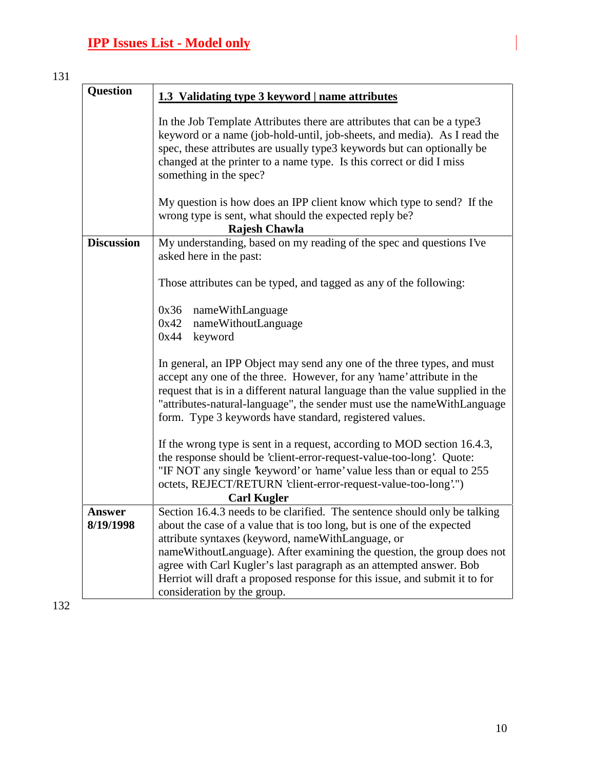| <b>Question</b>   | 1.3 Validating type 3 keyword   name attributes                                                                                                                                                                                                                                                                                                                          |
|-------------------|--------------------------------------------------------------------------------------------------------------------------------------------------------------------------------------------------------------------------------------------------------------------------------------------------------------------------------------------------------------------------|
|                   | In the Job Template Attributes there are attributes that can be a type3<br>keyword or a name (job-hold-until, job-sheets, and media). As I read the<br>spec, these attributes are usually type3 keywords but can optionally be<br>changed at the printer to a name type. Is this correct or did I miss<br>something in the spec?                                         |
|                   | My question is how does an IPP client know which type to send? If the<br>wrong type is sent, what should the expected reply be?<br><b>Rajesh Chawla</b>                                                                                                                                                                                                                  |
| <b>Discussion</b> | My understanding, based on my reading of the spec and questions I've<br>asked here in the past:                                                                                                                                                                                                                                                                          |
|                   | Those attributes can be typed, and tagged as any of the following:                                                                                                                                                                                                                                                                                                       |
|                   | 0x36 nameWithLanguage<br>0x42 nameWithoutLanguage<br>$0x44$ keyword                                                                                                                                                                                                                                                                                                      |
|                   | In general, an IPP Object may send any one of the three types, and must<br>accept any one of the three. However, for any 'name' attribute in the<br>request that is in a different natural language than the value supplied in the<br>"attributes-natural-language", the sender must use the nameWithLanguage<br>form. Type 3 keywords have standard, registered values. |
|                   | If the wrong type is sent in a request, according to MOD section 16.4.3,<br>the response should be 'client-error-request-value-too-long'. Quote:<br>"IF NOT any single 'keyword' or 'name' value less than or equal to 255<br>octets, REJECT/RETURN 'client-error-request-value-too-long'.")<br><b>Carl Kugler</b>                                                       |
| <b>Answer</b>     | Section 16.4.3 needs to be clarified. The sentence should only be talking                                                                                                                                                                                                                                                                                                |
| 8/19/1998         | about the case of a value that is too long, but is one of the expected                                                                                                                                                                                                                                                                                                   |
|                   | attribute syntaxes (keyword, nameWithLanguage, or<br>nameWithoutLanguage). After examining the question, the group does not                                                                                                                                                                                                                                              |
|                   | agree with Carl Kugler's last paragraph as an attempted answer. Bob                                                                                                                                                                                                                                                                                                      |
|                   | Herriot will draft a proposed response for this issue, and submit it to for<br>consideration by the group.                                                                                                                                                                                                                                                               |
|                   |                                                                                                                                                                                                                                                                                                                                                                          |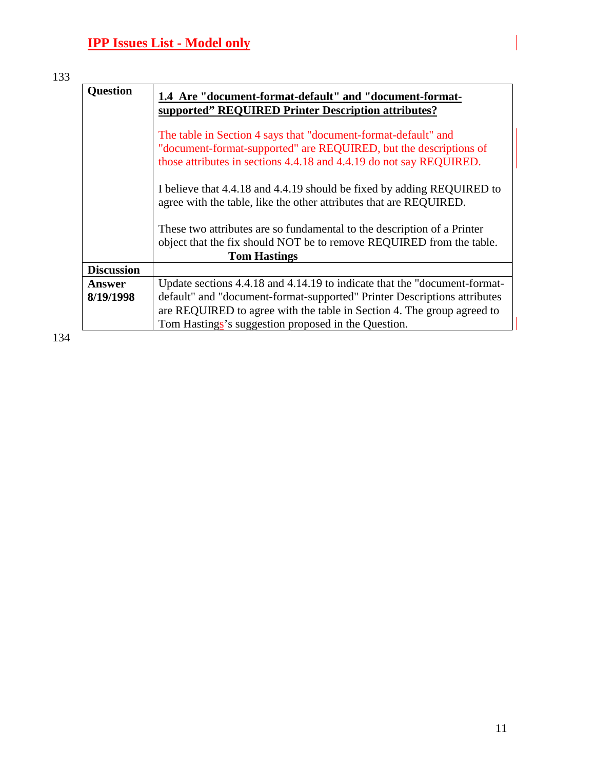| <b>Question</b>   | 1.4 Are "document-format-default" and "document-format-<br>supported" REQUIRED Printer Description attributes?                                                                                             |
|-------------------|------------------------------------------------------------------------------------------------------------------------------------------------------------------------------------------------------------|
|                   | The table in Section 4 says that "document-format-default" and<br>"document-format-supported" are REQUIRED, but the descriptions of<br>those attributes in sections 4.4.18 and 4.4.19 do not say REQUIRED. |
|                   | I believe that 4.4.18 and 4.4.19 should be fixed by adding REQUIRED to<br>agree with the table, like the other attributes that are REQUIRED.                                                               |
|                   | These two attributes are so fundamental to the description of a Printer<br>object that the fix should NOT be to remove REQUIRED from the table.<br><b>Tom Hastings</b>                                     |
| <b>Discussion</b> |                                                                                                                                                                                                            |
| <b>Answer</b>     | Update sections 4.4.18 and 4.14.19 to indicate that the "document-format-                                                                                                                                  |
| 8/19/1998         | default" and "document-format-supported" Printer Descriptions attributes<br>are REQUIRED to agree with the table in Section 4. The group agreed to<br>Tom Hastings's suggestion proposed in the Question.  |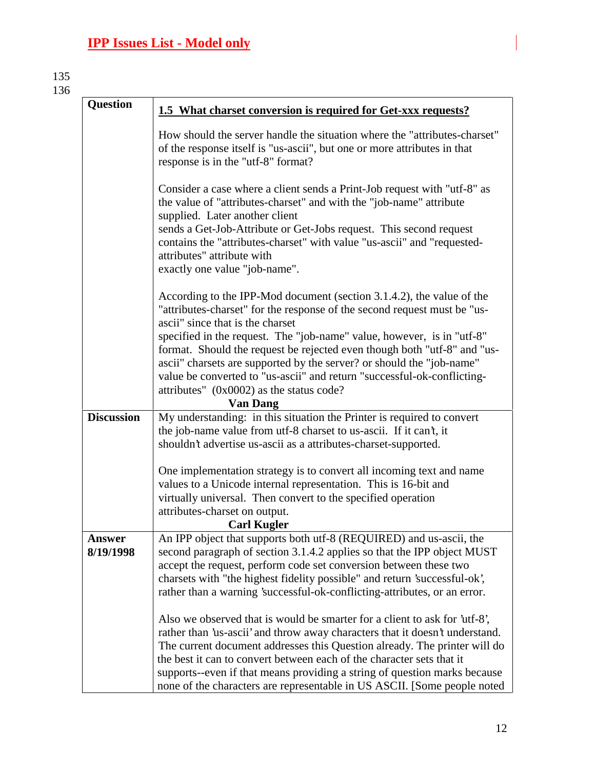| <b>Question</b>   | 1.5 What charset conversion is required for Get-xxx requests?                                                                                                                                                                                                                                                    |
|-------------------|------------------------------------------------------------------------------------------------------------------------------------------------------------------------------------------------------------------------------------------------------------------------------------------------------------------|
|                   | How should the server handle the situation where the "attributes-charset"<br>of the response itself is "us-ascii", but one or more attributes in that                                                                                                                                                            |
|                   | response is in the "utf-8" format?<br>Consider a case where a client sends a Print-Job request with "utf-8" as<br>the value of "attributes-charset" and with the "job-name" attribute<br>supplied. Later another client                                                                                          |
|                   | sends a Get-Job-Attribute or Get-Jobs request. This second request<br>contains the "attributes-charset" with value "us-ascii" and "requested-<br>attributes" attribute with<br>exactly one value "job-name".                                                                                                     |
|                   | According to the IPP-Mod document (section 3.1.4.2), the value of the<br>"attributes-charset" for the response of the second request must be "us-<br>ascii" since that is the charset<br>specified in the request. The "job-name" value, however, is in "utf-8"                                                  |
|                   | format. Should the request be rejected even though both "utf-8" and "us-<br>ascii" charsets are supported by the server? or should the "job-name"<br>value be converted to "us-ascii" and return "successful-ok-conflicting-<br>attributes" $(0x0002)$ as the status code?                                       |
|                   | <b>Van Dang</b>                                                                                                                                                                                                                                                                                                  |
| <b>Discussion</b> | My understanding: in this situation the Printer is required to convert<br>the job-name value from utf-8 charset to us-ascii. If it can't, it                                                                                                                                                                     |
|                   | shouldn't advertise us-ascii as a attributes-charset-supported.                                                                                                                                                                                                                                                  |
|                   | One implementation strategy is to convert all incoming text and name<br>values to a Unicode internal representation. This is 16-bit and<br>virtually universal. Then convert to the specified operation                                                                                                          |
|                   | attributes-charset on output.<br><b>Carl Kugler</b>                                                                                                                                                                                                                                                              |
| <b>Answer</b>     | An IPP object that supports both utf-8 (REQUIRED) and us-ascii, the                                                                                                                                                                                                                                              |
| 8/19/1998         | second paragraph of section 3.1.4.2 applies so that the IPP object MUST                                                                                                                                                                                                                                          |
|                   | accept the request, perform code set conversion between these two<br>charsets with "the highest fidelity possible" and return 'successful-ok',                                                                                                                                                                   |
|                   | rather than a warning 'successful-ok-conflicting-attributes, or an error.                                                                                                                                                                                                                                        |
|                   | Also we observed that is would be smarter for a client to ask for 'utf-8',<br>rather than 'us-ascii' and throw away characters that it doesn't understand.<br>The current document addresses this Question already. The printer will do<br>the best it can to convert between each of the character sets that it |
|                   | supports--even if that means providing a string of question marks because<br>none of the characters are representable in US ASCII. [Some people noted                                                                                                                                                            |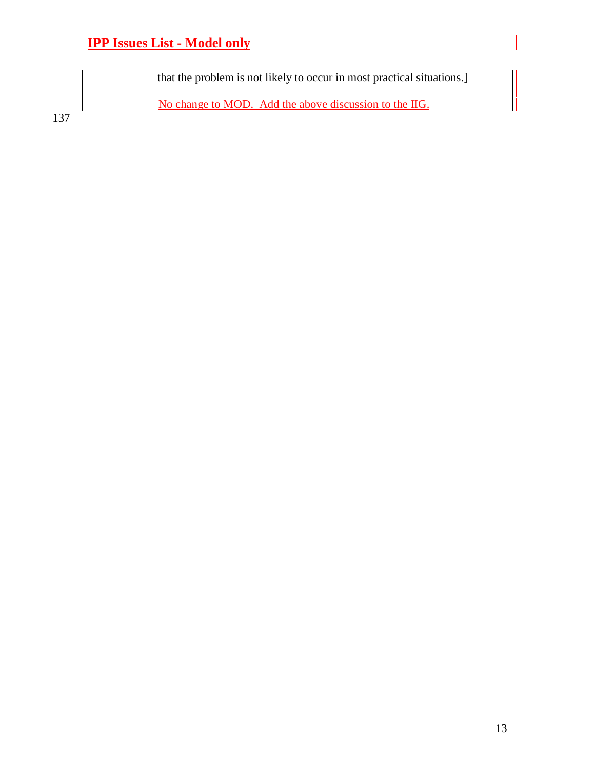| that the problem is not likely to occur in most practical situations. |
|-----------------------------------------------------------------------|
| No change to MOD. Add the above discussion to the IIG.                |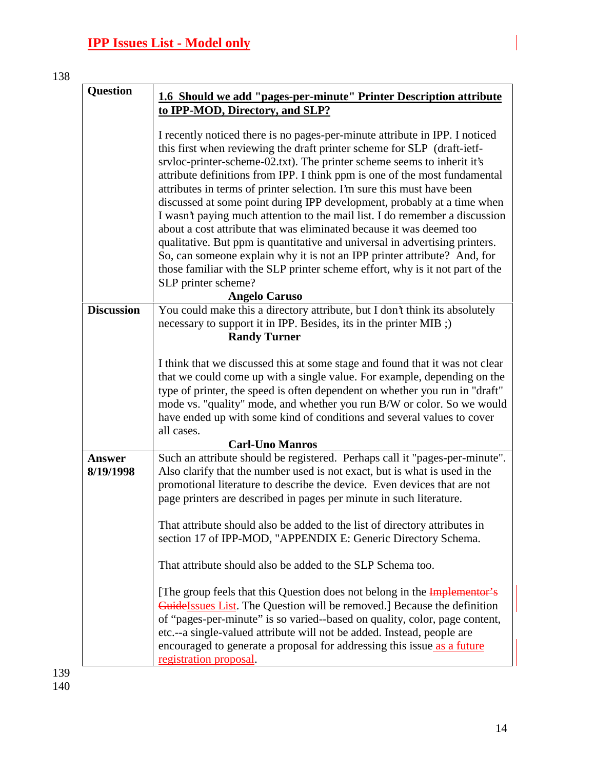| <b>Question</b>     | 1.6 Should we add "pages-per-minute" Printer Description attribute<br>to IPP-MOD, Directory, and SLP?                                                                                                                                                                                                                                                                                                                                                                                                                                                                                                                                                                                                                                                                                                                                                                                                                 |
|---------------------|-----------------------------------------------------------------------------------------------------------------------------------------------------------------------------------------------------------------------------------------------------------------------------------------------------------------------------------------------------------------------------------------------------------------------------------------------------------------------------------------------------------------------------------------------------------------------------------------------------------------------------------------------------------------------------------------------------------------------------------------------------------------------------------------------------------------------------------------------------------------------------------------------------------------------|
|                     | I recently noticed there is no pages-per-minute attribute in IPP. I noticed<br>this first when reviewing the draft printer scheme for SLP (draft-ietf-<br>srvloc-printer-scheme-02.txt). The printer scheme seems to inherit it's<br>attribute definitions from IPP. I think ppm is one of the most fundamental<br>attributes in terms of printer selection. I'm sure this must have been<br>discussed at some point during IPP development, probably at a time when<br>I wasn't paying much attention to the mail list. I do remember a discussion<br>about a cost attribute that was eliminated because it was deemed too<br>qualitative. But ppm is quantitative and universal in advertising printers.<br>So, can someone explain why it is not an IPP printer attribute? And, for<br>those familiar with the SLP printer scheme effort, why is it not part of the<br>SLP printer scheme?<br><b>Angelo Caruso</b> |
| <b>Discussion</b>   | You could make this a directory attribute, but I don't think its absolutely<br>necessary to support it in IPP. Besides, its in the printer MIB;)<br><b>Randy Turner</b>                                                                                                                                                                                                                                                                                                                                                                                                                                                                                                                                                                                                                                                                                                                                               |
|                     | I think that we discussed this at some stage and found that it was not clear<br>that we could come up with a single value. For example, depending on the<br>type of printer, the speed is often dependent on whether you run in "draft"<br>mode vs. "quality" mode, and whether you run B/W or color. So we would<br>have ended up with some kind of conditions and several values to cover<br>all cases.                                                                                                                                                                                                                                                                                                                                                                                                                                                                                                             |
|                     | <b>Carl-Uno Manros</b>                                                                                                                                                                                                                                                                                                                                                                                                                                                                                                                                                                                                                                                                                                                                                                                                                                                                                                |
| Answer<br>8/19/1998 | Such an attribute should be registered. Perhaps call it "pages-per-minute".<br>Also clarify that the number used is not exact, but is what is used in the<br>promotional literature to describe the device. Even devices that are not<br>page printers are described in pages per minute in such literature.                                                                                                                                                                                                                                                                                                                                                                                                                                                                                                                                                                                                          |
|                     | That attribute should also be added to the list of directory attributes in<br>section 17 of IPP-MOD, "APPENDIX E: Generic Directory Schema.                                                                                                                                                                                                                                                                                                                                                                                                                                                                                                                                                                                                                                                                                                                                                                           |
|                     | That attribute should also be added to the SLP Schema too.                                                                                                                                                                                                                                                                                                                                                                                                                                                                                                                                                                                                                                                                                                                                                                                                                                                            |
|                     | [The group feels that this Question does not belong in the Implementor's<br>GuideIssues List. The Question will be removed.] Because the definition<br>of "pages-per-minute" is so varied--based on quality, color, page content,<br>etc.--a single-valued attribute will not be added. Instead, people are<br>encouraged to generate a proposal for addressing this issue as a future<br>registration proposal.                                                                                                                                                                                                                                                                                                                                                                                                                                                                                                      |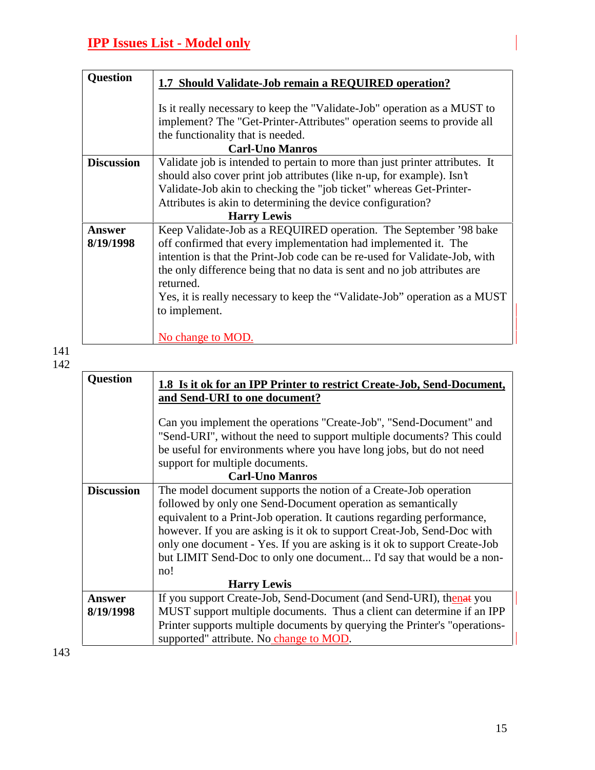| <b>Question</b>     | 1.7 Should Validate-Job remain a REQUIRED operation?                                                                                                                                                                                                                                                                                                                                                       |
|---------------------|------------------------------------------------------------------------------------------------------------------------------------------------------------------------------------------------------------------------------------------------------------------------------------------------------------------------------------------------------------------------------------------------------------|
|                     | Is it really necessary to keep the "Validate-Job" operation as a MUST to<br>implement? The "Get-Printer-Attributes" operation seems to provide all<br>the functionality that is needed.<br><b>Carl-Uno Manros</b>                                                                                                                                                                                          |
| <b>Discussion</b>   | Validate job is intended to pertain to more than just printer attributes. It<br>should also cover print job attributes (like n-up, for example). Isn't<br>Validate-Job akin to checking the "job ticket" whereas Get-Printer-<br>Attributes is akin to determining the device configuration?                                                                                                               |
|                     | <b>Harry Lewis</b>                                                                                                                                                                                                                                                                                                                                                                                         |
| Answer<br>8/19/1998 | Keep Validate-Job as a REQUIRED operation. The September '98 bake<br>off confirmed that every implementation had implemented it. The<br>intention is that the Print-Job code can be re-used for Validate-Job, with<br>the only difference being that no data is sent and no job attributes are<br>returned.<br>Yes, it is really necessary to keep the "Validate-Job" operation as a MUST<br>to implement. |
|                     | No change to MOD.                                                                                                                                                                                                                                                                                                                                                                                          |

142

| <b>Question</b>   | 1.8 Is it ok for an IPP Printer to restrict Create-Job, Send-Document,<br>and Send-URI to one document?                                        |
|-------------------|------------------------------------------------------------------------------------------------------------------------------------------------|
|                   | Can you implement the operations "Create-Job", "Send-Document" and                                                                             |
|                   | "Send-URI", without the need to support multiple documents? This could<br>be useful for environments where you have long jobs, but do not need |
|                   | support for multiple documents.                                                                                                                |
|                   | <b>Carl-Uno Manros</b>                                                                                                                         |
| <b>Discussion</b> | The model document supports the notion of a Create-Job operation                                                                               |
|                   | followed by only one Send-Document operation as semantically                                                                                   |
|                   | equivalent to a Print-Job operation. It cautions regarding performance,                                                                        |
|                   | however. If you are asking is it ok to support Creat-Job, Send-Doc with                                                                        |
|                   | only one document - Yes. If you are asking is it ok to support Create-Job                                                                      |
|                   | but LIMIT Send-Doc to only one document I'd say that would be a non-                                                                           |
|                   | no!                                                                                                                                            |
|                   | <b>Harry Lewis</b>                                                                                                                             |
| <b>Answer</b>     | If you support Create-Job, Send-Document (and Send-URI), then at you                                                                           |
| 8/19/1998         | MUST support multiple documents. Thus a client can determine if an IPP                                                                         |
|                   | Printer supports multiple documents by querying the Printer's "operations-                                                                     |
|                   | supported" attribute. No change to MOD.                                                                                                        |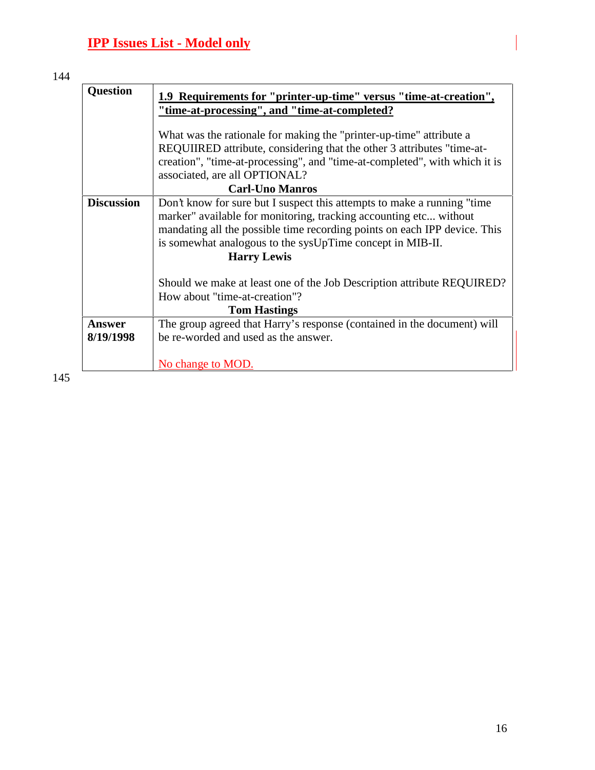| <b>Question</b>   | 1.9 Requirements for "printer-up-time" versus "time-at-creation",<br>"time-at-processing", and "time-at-completed?                                                                                                                                                                                            |
|-------------------|---------------------------------------------------------------------------------------------------------------------------------------------------------------------------------------------------------------------------------------------------------------------------------------------------------------|
|                   | What was the rationale for making the "printer-up-time" attribute a                                                                                                                                                                                                                                           |
|                   | REQUIIRED attribute, considering that the other 3 attributes "time-at-                                                                                                                                                                                                                                        |
|                   | creation", "time-at-processing", and "time-at-completed", with which it is<br>associated, are all OPTIONAL?                                                                                                                                                                                                   |
|                   | <b>Carl-Uno Manros</b>                                                                                                                                                                                                                                                                                        |
| <b>Discussion</b> | Don't know for sure but I suspect this attempts to make a running "time"<br>marker" available for monitoring, tracking accounting etc without<br>mandating all the possible time recording points on each IPP device. This<br>is somewhat analogous to the sysUpTime concept in MIB-II.<br><b>Harry Lewis</b> |
|                   | Should we make at least one of the Job Description attribute REQUIRED?                                                                                                                                                                                                                                        |
|                   | How about "time-at-creation"?                                                                                                                                                                                                                                                                                 |
|                   | <b>Tom Hastings</b>                                                                                                                                                                                                                                                                                           |
| Answer            | The group agreed that Harry's response (contained in the document) will                                                                                                                                                                                                                                       |
| 8/19/1998         | be re-worded and used as the answer.                                                                                                                                                                                                                                                                          |
|                   | No change to MOD                                                                                                                                                                                                                                                                                              |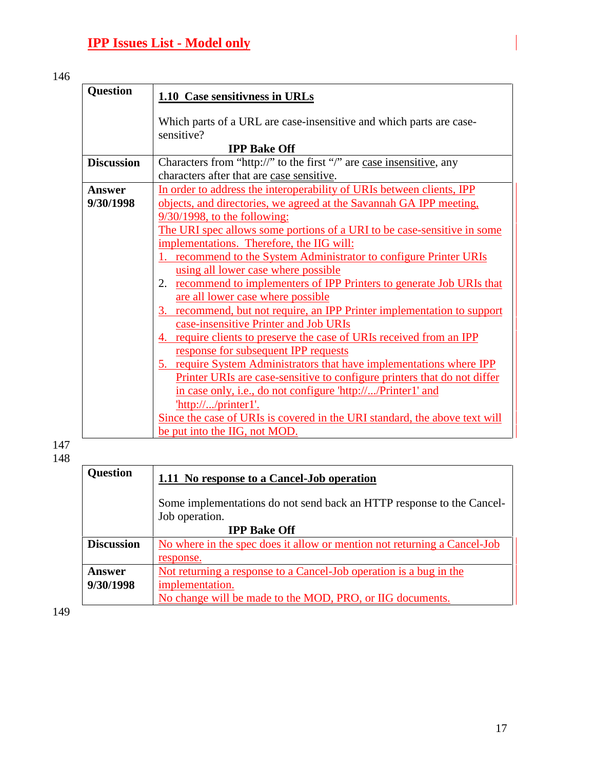| Question                   | 1.10 Case sensitivness in URLs                                                                                                                                                                                                                                                                                                                                                                                                                                                                                                                                                                                                                                                                                                                                                                                                                                                                                                                                                                                                 |
|----------------------------|--------------------------------------------------------------------------------------------------------------------------------------------------------------------------------------------------------------------------------------------------------------------------------------------------------------------------------------------------------------------------------------------------------------------------------------------------------------------------------------------------------------------------------------------------------------------------------------------------------------------------------------------------------------------------------------------------------------------------------------------------------------------------------------------------------------------------------------------------------------------------------------------------------------------------------------------------------------------------------------------------------------------------------|
|                            | Which parts of a URL are case-insensitive and which parts are case-                                                                                                                                                                                                                                                                                                                                                                                                                                                                                                                                                                                                                                                                                                                                                                                                                                                                                                                                                            |
|                            | sensitive?<br><b>IPP Bake Off</b>                                                                                                                                                                                                                                                                                                                                                                                                                                                                                                                                                                                                                                                                                                                                                                                                                                                                                                                                                                                              |
| <b>Discussion</b>          | Characters from "http://" to the first "/" are case insensitive, any                                                                                                                                                                                                                                                                                                                                                                                                                                                                                                                                                                                                                                                                                                                                                                                                                                                                                                                                                           |
|                            | characters after that are case sensitive.                                                                                                                                                                                                                                                                                                                                                                                                                                                                                                                                                                                                                                                                                                                                                                                                                                                                                                                                                                                      |
| <b>Answer</b><br>9/30/1998 | In order to address the interoperability of URIs between clients, IPP<br>objects, and directories, we agreed at the Savannah GA IPP meeting,<br>$9/30/1998$ , to the following:<br>The URI spec allows some portions of a URI to be case-sensitive in some<br>implementations. Therefore, the IIG will:<br>1. recommend to the System Administrator to configure Printer URIs<br>using all lower case where possible<br>2. <u>recommend to implementers of IPP Printers to generate Job URIs that</u><br>are all lower case where possible<br>3. recommend, but not require, an IPP Printer implementation to support<br>case-insensitive Printer and Job URIs<br>4. require clients to preserve the case of URIs received from an IPP<br>response for subsequent IPP requests<br><u>5. require System Administrators that have implementations where IPP</u><br>Printer URIs are case-sensitive to configure printers that do not differ<br>in case only, i.e., do not configure 'http:///Printer1' and<br>http:///printer1'. |
|                            | Since the case of URIs is covered in the URI standard, the above text will                                                                                                                                                                                                                                                                                                                                                                                                                                                                                                                                                                                                                                                                                                                                                                                                                                                                                                                                                     |
|                            | be put into the IIG, not MOD.                                                                                                                                                                                                                                                                                                                                                                                                                                                                                                                                                                                                                                                                                                                                                                                                                                                                                                                                                                                                  |
|                            |                                                                                                                                                                                                                                                                                                                                                                                                                                                                                                                                                                                                                                                                                                                                                                                                                                                                                                                                                                                                                                |

 $\frac{11}{148}$ 

| <b>Question</b>   | 1.11 No response to a Cancel-Job operation                               |
|-------------------|--------------------------------------------------------------------------|
|                   | Some implementations do not send back an HTTP response to the Cancel-    |
|                   | Job operation.                                                           |
|                   | <b>IPP Bake Off</b>                                                      |
| <b>Discussion</b> | No where in the spec does it allow or mention not returning a Cancel-Job |
|                   | response.                                                                |
| Answer            | Not returning a response to a Cancel-Job operation is a bug in the       |
| 9/30/1998         | implementation.                                                          |
|                   | No change will be made to the MOD, PRO, or IIG documents.                |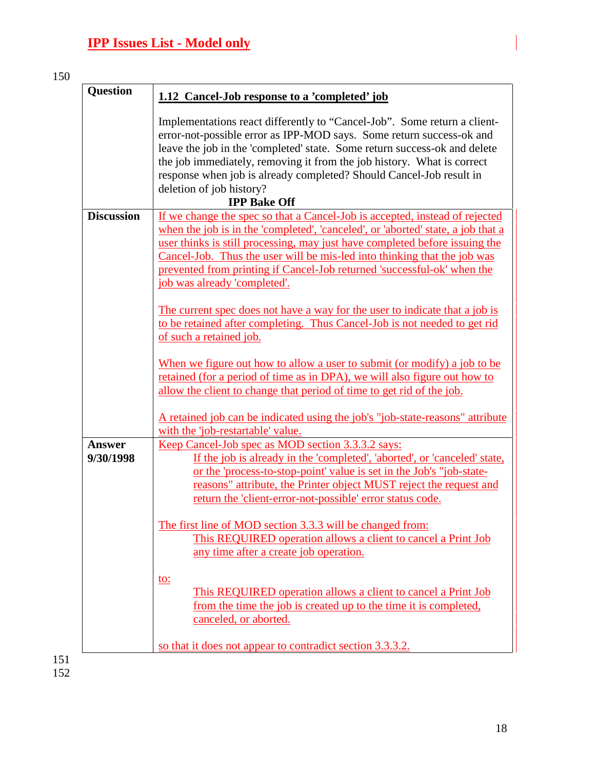| <b>Question</b>     | 1.12 Cancel-Job response to a 'completed' job                                                                                                                                                                                                                                                                                                                                                                                     |
|---------------------|-----------------------------------------------------------------------------------------------------------------------------------------------------------------------------------------------------------------------------------------------------------------------------------------------------------------------------------------------------------------------------------------------------------------------------------|
|                     | Implementations react differently to "Cancel-Job". Some return a client-<br>error-not-possible error as IPP-MOD says. Some return success-ok and<br>leave the job in the 'completed' state. Some return success-ok and delete<br>the job immediately, removing it from the job history. What is correct<br>response when job is already completed? Should Cancel-Job result in<br>deletion of job history?<br><b>IPP Bake Off</b> |
| <b>Discussion</b>   | If we change the spec so that a Cancel-Job is accepted, instead of rejected                                                                                                                                                                                                                                                                                                                                                       |
|                     | when the job is in the 'completed', 'canceled', or 'aborted' state, a job that a<br>user thinks is still processing, may just have completed before issuing the<br>Cancel-Job. Thus the user will be mis-led into thinking that the job was<br>prevented from printing if Cancel-Job returned 'successful-ok' when the<br>job was already 'completed'.                                                                            |
|                     | The current spec does not have a way for the user to indicate that a job is<br>to be retained after completing. Thus Cancel-Job is not needed to get rid<br>of such a retained job.                                                                                                                                                                                                                                               |
|                     | When we figure out how to allow a user to submit (or modify) a job to be<br>retained (for a period of time as in DPA), we will also figure out how to<br>allow the client to change that period of time to get rid of the job.                                                                                                                                                                                                    |
|                     | A retained job can be indicated using the job's "job-state-reasons" attribute<br>with the 'job-restartable' value.                                                                                                                                                                                                                                                                                                                |
| Answer<br>9/30/1998 | Keep Cancel-Job spec as MOD section 3.3.3.2 says:<br>If the job is already in the 'completed', 'aborted', or 'canceled' state,<br>or the 'process-to-stop-point' value is set in the Job's "job-state-<br>reasons" attribute, the Printer object MUST reject the request and<br>return the 'client-error-not-possible' error status code.                                                                                         |
|                     | The first line of MOD section 3.3.3 will be changed from:<br>This REQUIRED operation allows a client to cancel a Print Job<br>any time after a create job operation.                                                                                                                                                                                                                                                              |
|                     | <u>to:</u><br>This REQUIRED operation allows a client to cancel a Print Job<br>from the time the job is created up to the time it is completed,<br>canceled, or aborted.                                                                                                                                                                                                                                                          |
|                     | so that it does not appear to contradict section 3.3.3.2.                                                                                                                                                                                                                                                                                                                                                                         |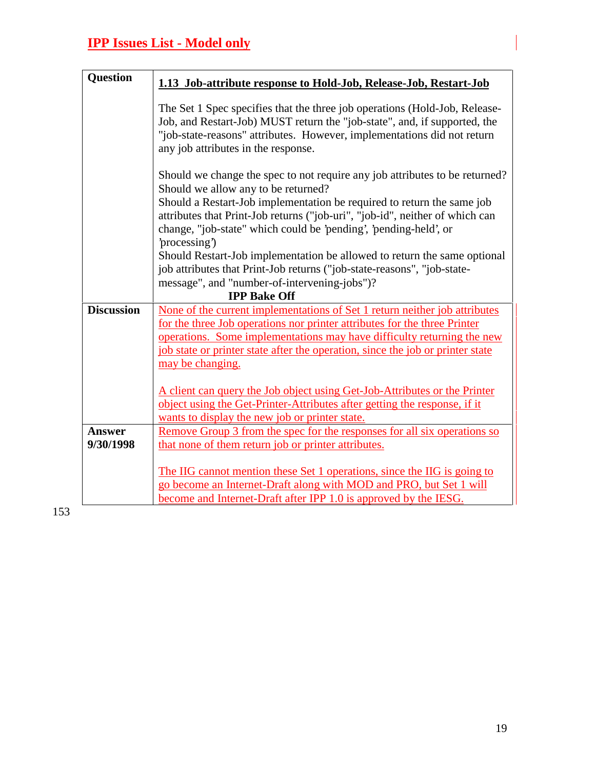| <b>Question</b>     | 1.13 Job-attribute response to Hold-Job, Release-Job, Restart-Job                                                                                                                                                                                                                                                                                |  |
|---------------------|--------------------------------------------------------------------------------------------------------------------------------------------------------------------------------------------------------------------------------------------------------------------------------------------------------------------------------------------------|--|
|                     | The Set 1 Spec specifies that the three job operations (Hold-Job, Release-<br>Job, and Restart-Job) MUST return the "job-state", and, if supported, the<br>"job-state-reasons" attributes. However, implementations did not return<br>any job attributes in the response.                                                                        |  |
|                     | Should we change the spec to not require any job attributes to be returned?<br>Should we allow any to be returned?<br>Should a Restart-Job implementation be required to return the same job<br>attributes that Print-Job returns ("job-uri", "job-id", neither of which can<br>change, "job-state" which could be 'pending', 'pending-held', or |  |
|                     | 'processing')<br>Should Restart-Job implementation be allowed to return the same optional<br>job attributes that Print-Job returns ("job-state-reasons", "job-state-<br>message", and "number-of-intervening-jobs")?<br><b>IPP Bake Off</b>                                                                                                      |  |
| <b>Discussion</b>   | None of the current implementations of Set 1 return neither job attributes<br>for the three Job operations nor printer attributes for the three Printer                                                                                                                                                                                          |  |
|                     | operations. Some implementations may have difficulty returning the new<br>job state or printer state after the operation, since the job or printer state<br>may be changing.                                                                                                                                                                     |  |
|                     | A client can query the Job object using Get-Job-Attributes or the Printer<br>object using the Get-Printer-Attributes after getting the response, if it<br>wants to display the new job or printer state.                                                                                                                                         |  |
| Answer<br>9/30/1998 | Remove Group 3 from the spec for the responses for all six operations so<br>that none of them return job or printer attributes.                                                                                                                                                                                                                  |  |
|                     | The IIG cannot mention these Set 1 operations, since the IIG is going to<br>go become an Internet-Draft along with MOD and PRO, but Set 1 will<br>become and Internet-Draft after IPP 1.0 is approved by the IESG.                                                                                                                               |  |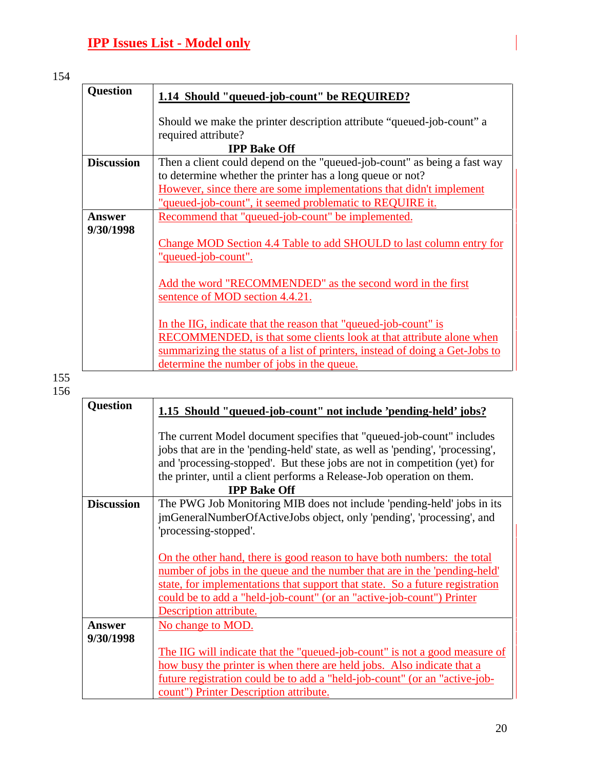| <b>Question</b>   | 1.14 Should "queued-job-count" be REQUIRED?                                  |  |
|-------------------|------------------------------------------------------------------------------|--|
|                   |                                                                              |  |
|                   | Should we make the printer description attribute "queued-job-count" a        |  |
|                   | required attribute?                                                          |  |
|                   | <b>IPP Bake Off</b>                                                          |  |
| <b>Discussion</b> | Then a client could depend on the "queued-job-count" as being a fast way     |  |
|                   | to determine whether the printer has a long queue or not?                    |  |
|                   | However, since there are some implementations that didn't implement          |  |
|                   | "queued-job-count", it seemed problematic to REQUIRE it.                     |  |
| Answer            | Recommend that "queued-job-count" be implemented.                            |  |
| 9/30/1998         |                                                                              |  |
|                   | Change MOD Section 4.4 Table to add SHOULD to last column entry for          |  |
|                   | "queued-job-count".                                                          |  |
|                   |                                                                              |  |
|                   | Add the word "RECOMMENDED" as the second word in the first                   |  |
|                   | sentence of MOD section 4.4.21.                                              |  |
|                   |                                                                              |  |
|                   | In the IIG, indicate that the reason that "queued-job-count" is              |  |
|                   | RECOMMENDED, is that some clients look at that attribute alone when          |  |
|                   | summarizing the status of a list of printers, instead of doing a Get-Jobs to |  |
|                   | determine the number of jobs in the queue.                                   |  |

| <b>Question</b>     | 1.15 Should "queued-job-count" not include 'pending-held' jobs?                                                                                                                                                                                                                                                                                |
|---------------------|------------------------------------------------------------------------------------------------------------------------------------------------------------------------------------------------------------------------------------------------------------------------------------------------------------------------------------------------|
|                     | The current Model document specifies that "queued-job-count" includes<br>jobs that are in the 'pending-held' state, as well as 'pending', 'processing',<br>and 'processing-stopped'. But these jobs are not in competition (yet) for<br>the printer, until a client performs a Release-Job operation on them.<br><b>IPP Bake Off</b>           |
| <b>Discussion</b>   | The PWG Job Monitoring MIB does not include 'pending-held' jobs in its<br>jmGeneralNumberOfActiveJobs object, only 'pending', 'processing', and<br>'processing-stopped'.                                                                                                                                                                       |
|                     | <u>On the other hand, there is good reason to have both numbers: the total</u><br>number of jobs in the queue and the number that are in the 'pending-held'<br>state, for implementations that support that state. So a future registration<br>could be to add a "held-job-count" (or an "active-job-count") Printer<br>Description attribute. |
| Answer<br>9/30/1998 | No change to MOD.<br>The IIG will indicate that the "queued-job-count" is not a good measure of                                                                                                                                                                                                                                                |
|                     | how busy the printer is when there are held jobs. Also indicate that a<br><u>future registration could be to add a "held-job-count" (or an "active-job-</u><br>count") Printer Description attribute.                                                                                                                                          |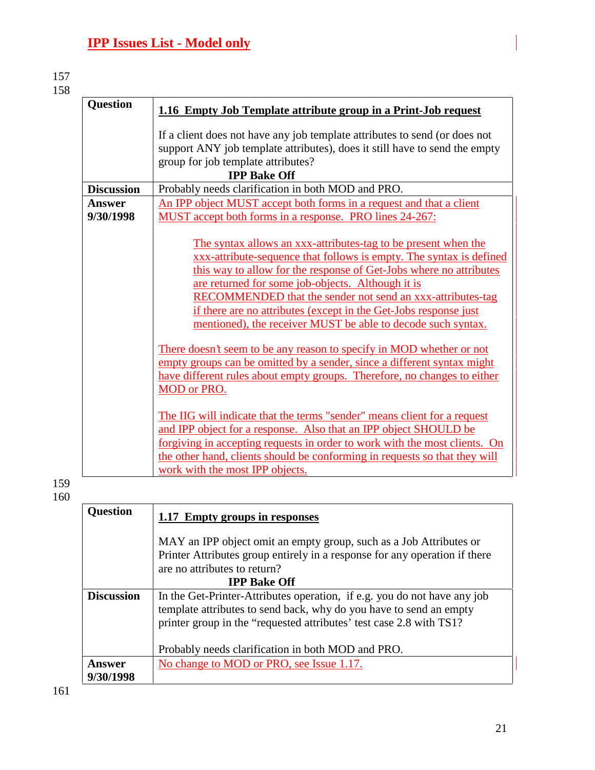| <b>Question</b>            | 1.16 Empty Job Template attribute group in a Print-Job request                                                                                                                                                                                                                                                                                                                                                                                                     |
|----------------------------|--------------------------------------------------------------------------------------------------------------------------------------------------------------------------------------------------------------------------------------------------------------------------------------------------------------------------------------------------------------------------------------------------------------------------------------------------------------------|
|                            | If a client does not have any job template attributes to send (or does not<br>support ANY job template attributes), does it still have to send the empty<br>group for job template attributes?<br><b>IPP Bake Off</b>                                                                                                                                                                                                                                              |
| <b>Discussion</b>          | Probably needs clarification in both MOD and PRO.                                                                                                                                                                                                                                                                                                                                                                                                                  |
| <b>Answer</b><br>9/30/1998 | An IPP object MUST accept both forms in a request and that a client<br>MUST accept both forms in a response. PRO lines 24-267:                                                                                                                                                                                                                                                                                                                                     |
|                            | The syntax allows an xxx-attributes-tag to be present when the<br>xxx-attribute-sequence that follows is empty. The syntax is defined<br>this way to allow for the response of Get-Jobs where no attributes<br>are returned for some job-objects. Although it is<br>RECOMMENDED that the sender not send an xxx-attributes-tag<br>if there are no attributes (except in the Get-Jobs response just<br>mentioned), the receiver MUST be able to decode such syntax. |
|                            | There doesn't seem to be any reason to specify in MOD whether or not<br>empty groups can be omitted by a sender, since a different syntax might<br>have different rules about empty groups. Therefore, no changes to either<br>MOD or PRO.                                                                                                                                                                                                                         |
|                            | The IIG will indicate that the terms "sender" means client for a request<br>and IPP object for a response. Also that an IPP object SHOULD be<br>forgiving in accepting requests in order to work with the most clients. On<br>the other hand, clients should be conforming in requests so that they will<br>work with the most IPP objects.                                                                                                                        |
|                            |                                                                                                                                                                                                                                                                                                                                                                                                                                                                    |
| <b>Question</b>            | 1.17 Empty groups in responses                                                                                                                                                                                                                                                                                                                                                                                                                                     |
|                            | MAY an IPP object omit an empty group, such as a Job Attributes or<br>Printer Attributes group entirely in a response for any operation if there<br>are no attributes to return?                                                                                                                                                                                                                                                                                   |

|                     | are no authorited to return.                                                                                                                                                                                          |
|---------------------|-----------------------------------------------------------------------------------------------------------------------------------------------------------------------------------------------------------------------|
|                     | <b>IPP Bake Off</b>                                                                                                                                                                                                   |
| <b>Discussion</b>   | In the Get-Printer-Attributes operation, if e.g. you do not have any job<br>template attributes to send back, why do you have to send an empty<br>printer group in the "requested attributes' test case 2.8 with TS1? |
|                     | Probably needs clarification in both MOD and PRO.                                                                                                                                                                     |
| Answer<br>9/30/1998 | No change to MOD or PRO, see Issue 1.17.                                                                                                                                                                              |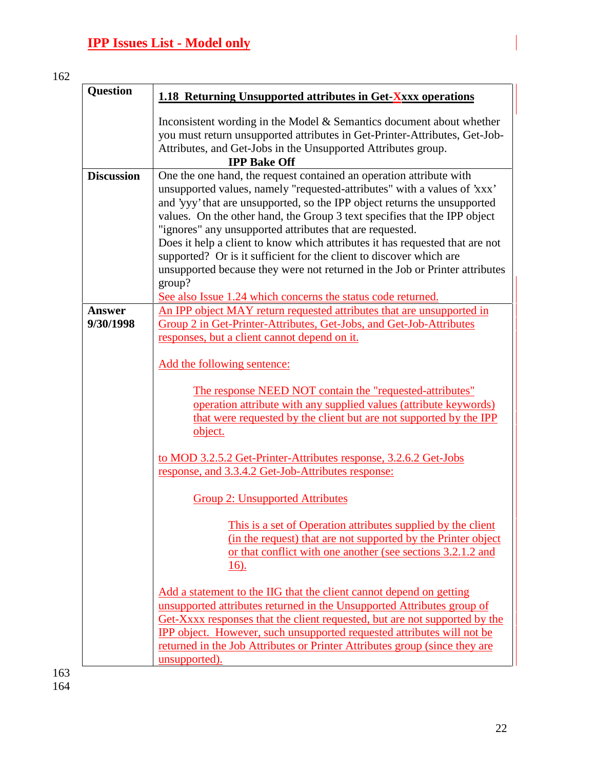| <b>Question</b>   | 1.18 Returning Unsupported attributes in Get-Xxxx operations                                                                                                                                                                                                                                                                                                                                                                                                                                                                                                                                                                                                                                                                                                                                                                                                                                         |
|-------------------|------------------------------------------------------------------------------------------------------------------------------------------------------------------------------------------------------------------------------------------------------------------------------------------------------------------------------------------------------------------------------------------------------------------------------------------------------------------------------------------------------------------------------------------------------------------------------------------------------------------------------------------------------------------------------------------------------------------------------------------------------------------------------------------------------------------------------------------------------------------------------------------------------|
|                   | Inconsistent wording in the Model & Semantics document about whether<br>you must return unsupported attributes in Get-Printer-Attributes, Get-Job-<br>Attributes, and Get-Jobs in the Unsupported Attributes group.<br><b>IPP Bake Off</b>                                                                                                                                                                                                                                                                                                                                                                                                                                                                                                                                                                                                                                                           |
| <b>Discussion</b> | One the one hand, the request contained an operation attribute with<br>unsupported values, namely "requested-attributes" with a values of 'xxx'<br>and 'yyy' that are unsupported, so the IPP object returns the unsupported<br>values. On the other hand, the Group 3 text specifies that the IPP object<br>"ignores" any unsupported attributes that are requested.<br>Does it help a client to know which attributes it has requested that are not<br>supported? Or is it sufficient for the client to discover which are<br>unsupported because they were not returned in the Job or Printer attributes<br>group?<br>See also Issue 1.24 which concerns the status code returned.                                                                                                                                                                                                                |
| Answer            | An IPP object MAY return requested attributes that are unsupported in                                                                                                                                                                                                                                                                                                                                                                                                                                                                                                                                                                                                                                                                                                                                                                                                                                |
| 9/30/1998         | Group 2 in Get-Printer-Attributes, Get-Jobs, and Get-Job-Attributes<br>responses, but a client cannot depend on it.<br>Add the following sentence:<br>The response NEED NOT contain the "requested-attributes"<br>operation attribute with any supplied values (attribute keywords)<br>that were requested by the client but are not supported by the IPP<br>object.<br>to MOD 3.2.5.2 Get-Printer-Attributes response, 3.2.6.2 Get-Jobs<br>response, and 3.3.4.2 Get-Job-Attributes response:<br><b>Group 2: Unsupported Attributes</b><br>This is a set of Operation attributes supplied by the client<br>(in the request) that are not supported by the Printer object<br>or that conflict with one another (see sections 3.2.1.2 and<br>$16)$ .<br>Add a statement to the IIG that the client cannot depend on getting<br>unsupported attributes returned in the Unsupported Attributes group of |
|                   | Get-Xxxx responses that the client requested, but are not supported by the<br>IPP object. However, such unsupported requested attributes will not be<br>returned in the Job Attributes or Printer Attributes group (since they are<br>unsupported).                                                                                                                                                                                                                                                                                                                                                                                                                                                                                                                                                                                                                                                  |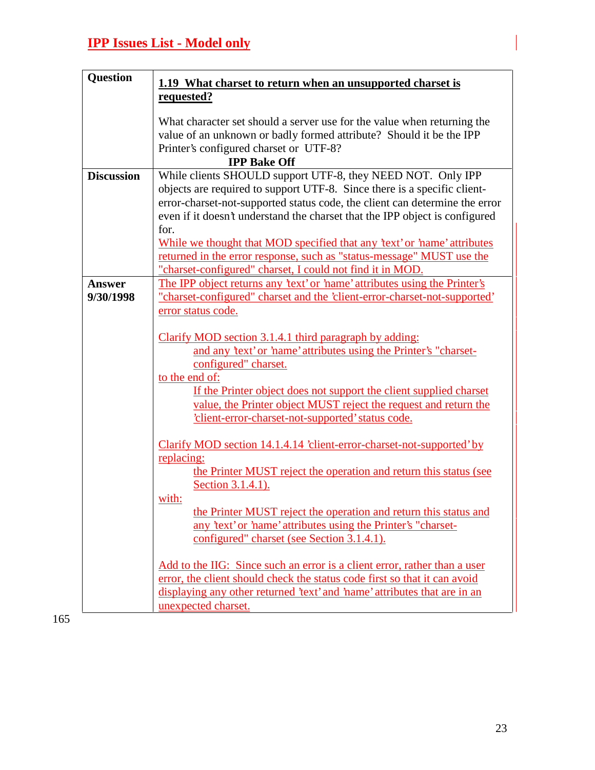| <b>Question</b>            | 1.19 What charset to return when an unsupported charset is                                                                                                                                                                                                                                                                                                                                                                                                                                                                                                                                                                                                                                                                                                                                                                                                                                                                        |  |
|----------------------------|-----------------------------------------------------------------------------------------------------------------------------------------------------------------------------------------------------------------------------------------------------------------------------------------------------------------------------------------------------------------------------------------------------------------------------------------------------------------------------------------------------------------------------------------------------------------------------------------------------------------------------------------------------------------------------------------------------------------------------------------------------------------------------------------------------------------------------------------------------------------------------------------------------------------------------------|--|
|                            | requested?                                                                                                                                                                                                                                                                                                                                                                                                                                                                                                                                                                                                                                                                                                                                                                                                                                                                                                                        |  |
|                            | What character set should a server use for the value when returning the<br>value of an unknown or badly formed attribute? Should it be the IPP<br>Printer's configured charset or UTF-8?<br><b>IPP Bake Off</b>                                                                                                                                                                                                                                                                                                                                                                                                                                                                                                                                                                                                                                                                                                                   |  |
| <b>Discussion</b>          | While clients SHOULD support UTF-8, they NEED NOT. Only IPP<br>objects are required to support UTF-8. Since there is a specific client-<br>error-charset-not-supported status code, the client can determine the error<br>even if it doesn't understand the charset that the IPP object is configured<br>for.<br>While we thought that MOD specified that any 'text' or 'name' attributes<br>returned in the error response, such as "status-message" MUST use the<br>"charset-configured" charset, I could not find it in MOD.                                                                                                                                                                                                                                                                                                                                                                                                   |  |
| <b>Answer</b><br>9/30/1998 | The IPP object returns any 'text' or 'name' attributes using the Printer's<br>"charset-configured" charset and the 'client-error-charset-not-supported'<br>error status code.<br>Clarify MOD section 3.1.4.1 third paragraph by adding:<br>and any 'text' or 'name' attributes using the Printer's "charset-<br>configured" charset.<br>to the end of:<br>If the Printer object does not support the client supplied charset<br>value, the Printer object MUST reject the request and return the<br>client-error-charset-not-supported' status code.<br>Clarify MOD section 14.1.4.14 'client-error-charset-not-supported' by<br>replacing:<br>the Printer MUST reject the operation and return this status (see<br>Section 3.1.4.1).<br>with:<br>the Printer MUST reject the operation and return this status and<br>any 'text' or 'name' attributes using the Printer's "charset-<br>configured" charset (see Section 3.1.4.1). |  |
|                            | Add to the IIG: Since such an error is a client error, rather than a user<br>error, the client should check the status code first so that it can avoid<br>displaying any other returned 'text' and 'name' attributes that are in an<br>unexpected charset.                                                                                                                                                                                                                                                                                                                                                                                                                                                                                                                                                                                                                                                                        |  |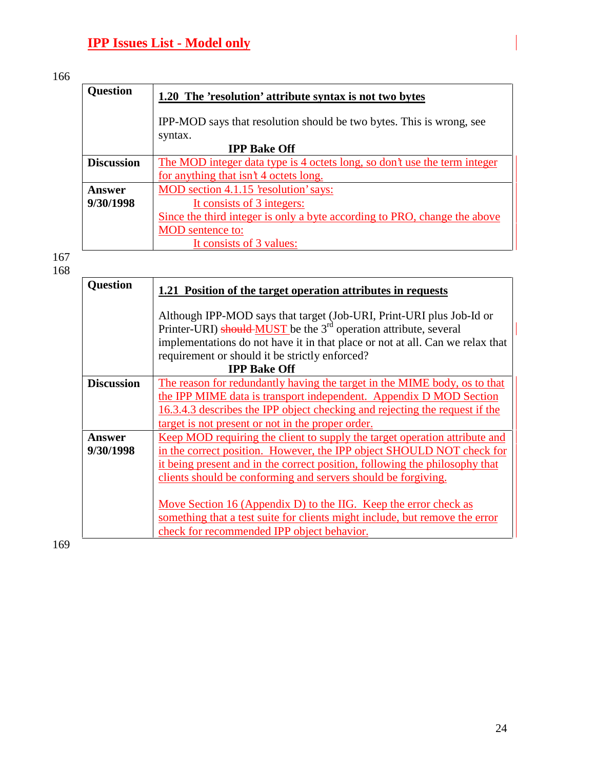| <b>Question</b>   | 1.20 The 'resolution' attribute syntax is not two bytes                   |  |
|-------------------|---------------------------------------------------------------------------|--|
|                   | IPP-MOD says that resolution should be two bytes. This is wrong, see      |  |
|                   | syntax.                                                                   |  |
|                   | <b>IPP Bake Off</b>                                                       |  |
| <b>Discussion</b> | The MOD integer data type is 4 octets long, so don't use the term integer |  |
|                   | for anything that isn't 4 octets long.                                    |  |
| Answer            | MOD section 4.1.15 resolution says:                                       |  |
| 9/30/1998         | It consists of 3 integers:                                                |  |
|                   | Since the third integer is only a byte according to PRO, change the above |  |
|                   | MOD sentence to:                                                          |  |
|                   | It consists of 3 values:                                                  |  |

167

168

| <b>Question</b>   | 1.21 Position of the target operation attributes in requests<br>Although IPP-MOD says that target (Job-URI, Print-URI plus Job-Id or<br>Printer-URI) should MUST be the $3rd$ operation attribute, several<br>implementations do not have it in that place or not at all. Can we relax that |
|-------------------|---------------------------------------------------------------------------------------------------------------------------------------------------------------------------------------------------------------------------------------------------------------------------------------------|
|                   | requirement or should it be strictly enforced?                                                                                                                                                                                                                                              |
|                   | <b>IPP Bake Off</b>                                                                                                                                                                                                                                                                         |
| <b>Discussion</b> | The reason for redundantly having the target in the MIME body, os to that                                                                                                                                                                                                                   |
|                   | the IPP MIME data is transport independent. Appendix D MOD Section                                                                                                                                                                                                                          |
|                   | 16.3.4.3 describes the IPP object checking and rejecting the request if the                                                                                                                                                                                                                 |
|                   | target is not present or not in the proper order.                                                                                                                                                                                                                                           |
| Answer            | Keep MOD requiring the client to supply the target operation attribute and                                                                                                                                                                                                                  |
| 9/30/1998         | in the correct position. However, the IPP object SHOULD NOT check for                                                                                                                                                                                                                       |
|                   | it being present and in the correct position, following the philosophy that                                                                                                                                                                                                                 |
|                   | clients should be conforming and servers should be forgiving.                                                                                                                                                                                                                               |
|                   | Move Section 16 (Appendix D) to the IIG. Keep the error check as<br>something that a test suite for clients might include, but remove the error<br>check for recommended IPP object behavior.                                                                                               |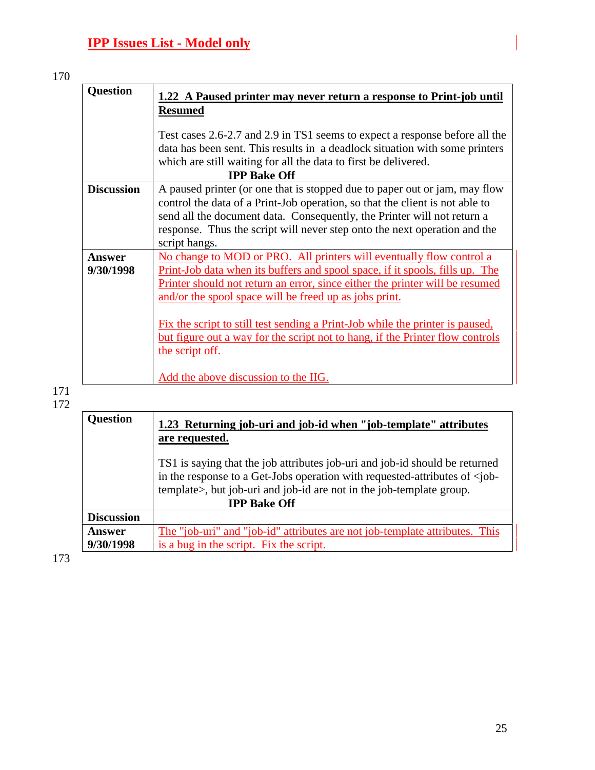| <b>Question</b>   | 1.22 A Paused printer may never return a response to Print-job until                                                                                                                                                                                 |
|-------------------|------------------------------------------------------------------------------------------------------------------------------------------------------------------------------------------------------------------------------------------------------|
|                   | <b>Resumed</b>                                                                                                                                                                                                                                       |
|                   | Test cases 2.6-2.7 and 2.9 in TS1 seems to expect a response before all the<br>data has been sent. This results in a deadlock situation with some printers<br>which are still waiting for all the data to first be delivered.<br><b>IPP Bake Off</b> |
| <b>Discussion</b> | A paused printer (or one that is stopped due to paper out or jam, may flow                                                                                                                                                                           |
|                   | control the data of a Print-Job operation, so that the client is not able to                                                                                                                                                                         |
|                   | send all the document data. Consequently, the Printer will not return a                                                                                                                                                                              |
|                   | response. Thus the script will never step onto the next operation and the                                                                                                                                                                            |
|                   | script hangs.                                                                                                                                                                                                                                        |
| Answer            | No change to MOD or PRO. All printers will eventually flow control a                                                                                                                                                                                 |
| 9/30/1998         | Print-Job data when its buffers and spool space, if it spools, fills up. The<br>Printer should not return an error, since either the printer will be resumed                                                                                         |
|                   | and/or the spool space will be freed up as jobs print.                                                                                                                                                                                               |
|                   |                                                                                                                                                                                                                                                      |
|                   | Fix the script to still test sending a Print-Job while the printer is paused,                                                                                                                                                                        |
|                   | but figure out a way for the script not to hang, if the Printer flow controls                                                                                                                                                                        |
|                   | the script off.                                                                                                                                                                                                                                      |
|                   |                                                                                                                                                                                                                                                      |
|                   | Add the above discussion to the IIG.                                                                                                                                                                                                                 |
|                   |                                                                                                                                                                                                                                                      |

171 172

| <b>Question</b>     | 1.23 Returning job-uri and job-id when "job-template" attributes<br>are requested.                                                                                                                                                                                     |
|---------------------|------------------------------------------------------------------------------------------------------------------------------------------------------------------------------------------------------------------------------------------------------------------------|
|                     | TS1 is saying that the job attributes job-uri and job-id should be returned<br>in the response to a Get-Jobs operation with requested-attributes of <job-<br>template&gt;, but job-uri and job-id are not in the job-template group.<br/><b>IPP Bake Off</b></job-<br> |
| <b>Discussion</b>   |                                                                                                                                                                                                                                                                        |
| Answer<br>9/30/1998 | The "job-uri" and "job-id" attributes are not job-template attributes. This<br>is a bug in the script. Fix the script.                                                                                                                                                 |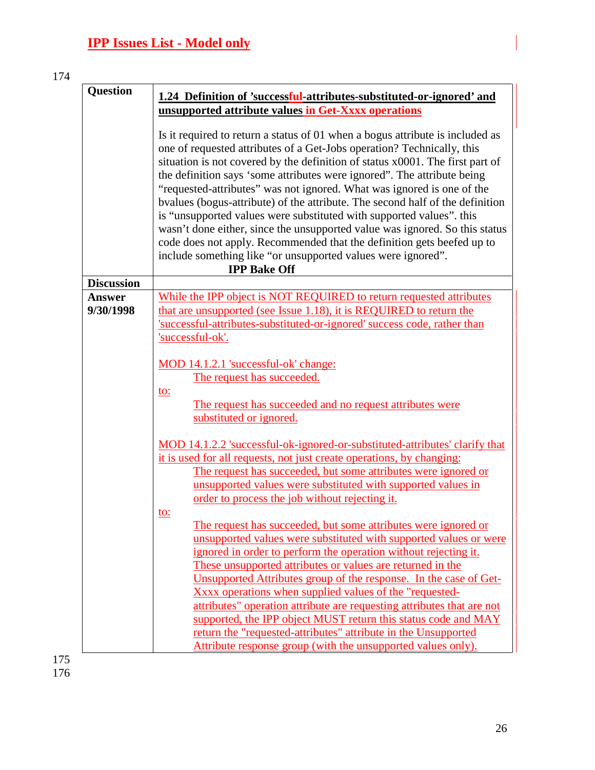| <b>Question</b>            | 1.24 Definition of 'successful-attributes-substituted-or-ignored' and<br>unsupported attribute values in Get-Xxxx operations                                                                                                                                                                                                                                                                                                                                                                                                                                                                                                                                                                                                                                                                           |
|----------------------------|--------------------------------------------------------------------------------------------------------------------------------------------------------------------------------------------------------------------------------------------------------------------------------------------------------------------------------------------------------------------------------------------------------------------------------------------------------------------------------------------------------------------------------------------------------------------------------------------------------------------------------------------------------------------------------------------------------------------------------------------------------------------------------------------------------|
|                            | Is it required to return a status of 01 when a bogus attribute is included as<br>one of requested attributes of a Get-Jobs operation? Technically, this<br>situation is not covered by the definition of status x0001. The first part of<br>the definition says 'some attributes were ignored". The attribute being<br>"requested-attributes" was not ignored. What was ignored is one of the<br>bvalues (bogus-attribute) of the attribute. The second half of the definition<br>is "unsupported values were substituted with supported values". this<br>wasn't done either, since the unsupported value was ignored. So this status<br>code does not apply. Recommended that the definition gets beefed up to<br>include something like "or unsupported values were ignored".<br><b>IPP Bake Off</b> |
| <b>Discussion</b>          |                                                                                                                                                                                                                                                                                                                                                                                                                                                                                                                                                                                                                                                                                                                                                                                                        |
| <b>Answer</b><br>9/30/1998 | While the IPP object is NOT REQUIRED to return requested attributes<br>that are unsupported (see Issue 1.18), it is REQUIRED to return the<br>'successful-attributes-substituted-or-ignored' success code, rather than<br>'successful-ok'.                                                                                                                                                                                                                                                                                                                                                                                                                                                                                                                                                             |
|                            | MOD 14.1.2.1 'successful-ok' change:<br>The request has succeeded.                                                                                                                                                                                                                                                                                                                                                                                                                                                                                                                                                                                                                                                                                                                                     |
|                            | <u>to:</u><br>The request has succeeded and no request attributes were<br>substituted or ignored.                                                                                                                                                                                                                                                                                                                                                                                                                                                                                                                                                                                                                                                                                                      |
|                            | MOD 14.1.2.2 'successful-ok-ignored-or-substituted-attributes' clarify that<br>it is used for all requests, not just create operations, by changing:<br>The request has succeeded, but some attributes were ignored or<br>unsupported values were substituted with supported values in<br>order to process the job without rejecting it.                                                                                                                                                                                                                                                                                                                                                                                                                                                               |
|                            | <u>to:</u><br>The request has succeeded, but some attributes were ignored or                                                                                                                                                                                                                                                                                                                                                                                                                                                                                                                                                                                                                                                                                                                           |
|                            | unsupported values were substituted with supported values or were<br>ignored in order to perform the operation without rejecting it.                                                                                                                                                                                                                                                                                                                                                                                                                                                                                                                                                                                                                                                                   |
|                            | These unsupported attributes or values are returned in the<br>Unsupported Attributes group of the response. In the case of Get-<br>Xxxx operations when supplied values of the "requested-                                                                                                                                                                                                                                                                                                                                                                                                                                                                                                                                                                                                             |
|                            | attributes" operation attribute are requesting attributes that are not<br>supported, the IPP object MUST return this status code and MAY<br>return the "requested-attributes" attribute in the Unsupported                                                                                                                                                                                                                                                                                                                                                                                                                                                                                                                                                                                             |
|                            | Attribute response group (with the unsupported values only).                                                                                                                                                                                                                                                                                                                                                                                                                                                                                                                                                                                                                                                                                                                                           |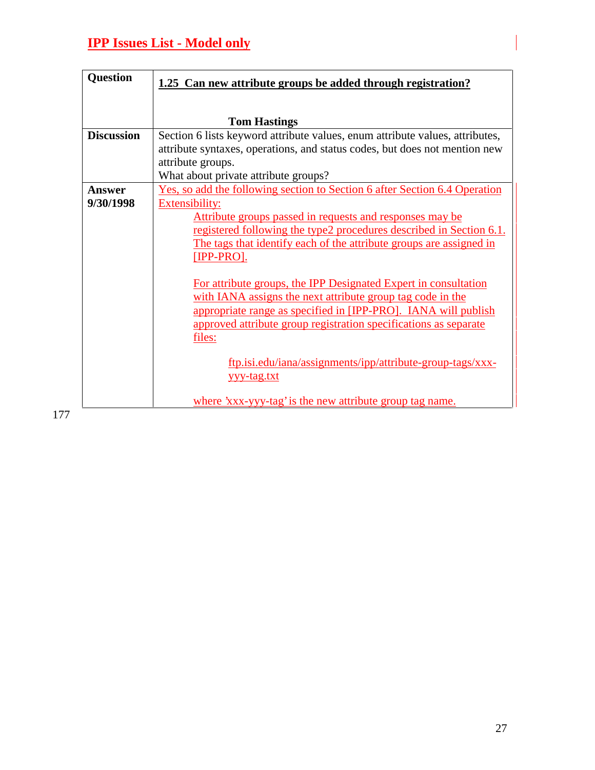| 1.25 Can new attribute groups be added through registration?                      |
|-----------------------------------------------------------------------------------|
|                                                                                   |
|                                                                                   |
| <b>Tom Hastings</b>                                                               |
| Section 6 lists keyword attribute values, enum attribute values, attributes,      |
| attribute syntaxes, operations, and status codes, but does not mention new        |
|                                                                                   |
| What about private attribute groups?                                              |
| <u>Yes, so add the following section to Section 6 after Section 6.4 Operation</u> |
|                                                                                   |
| Attribute groups passed in requests and responses may be                          |
| registered following the type2 procedures described in Section 6.1.               |
| The tags that identify each of the attribute groups are assigned in               |
|                                                                                   |
|                                                                                   |
| For attribute groups, the IPP Designated Expert in consultation                   |
| with IANA assigns the next attribute group tag code in the                        |
| appropriate range as specified in [IPP-PRO]. IANA will publish                    |
| approved attribute group registration specifications as separate                  |
|                                                                                   |
|                                                                                   |
| ftp.isi.edu/iana/assignments/ipp/attribute-group-tags/xxx-                        |
| yyy-tag.txt                                                                       |
|                                                                                   |
| where 'xxx-yyy-tag' is the new attribute group tag name.                          |
|                                                                                   |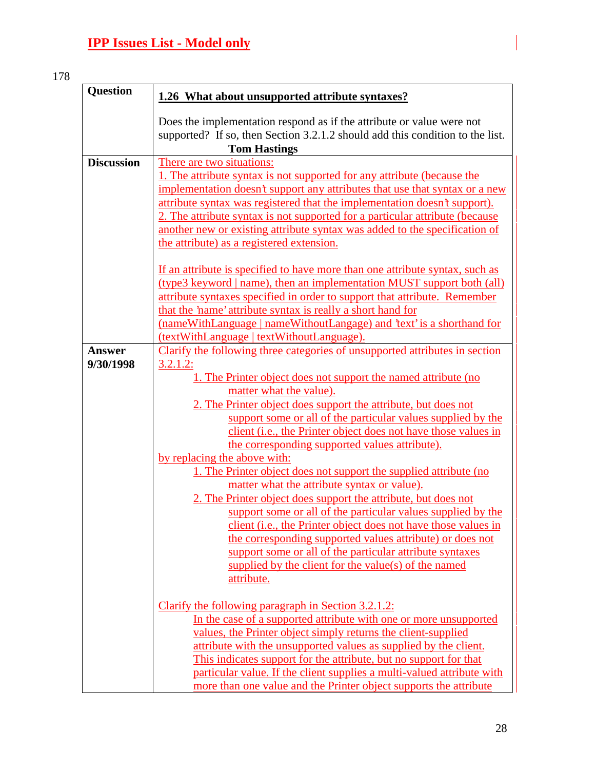| <b>Question</b>            | 1.26 What about unsupported attribute syntaxes?                                                                                                                                                                                                                                                                                                                                                                                                                                                                                                                                                   |
|----------------------------|---------------------------------------------------------------------------------------------------------------------------------------------------------------------------------------------------------------------------------------------------------------------------------------------------------------------------------------------------------------------------------------------------------------------------------------------------------------------------------------------------------------------------------------------------------------------------------------------------|
|                            | Does the implementation respond as if the attribute or value were not<br>supported? If so, then Section 3.2.1.2 should add this condition to the list.<br><b>Tom Hastings</b>                                                                                                                                                                                                                                                                                                                                                                                                                     |
| <b>Discussion</b>          | There are two situations:<br>1. The attribute syntax is not supported for any attribute (because the<br>implementation doesn't support any attributes that use that syntax or a new<br>attribute syntax was registered that the implementation doesn't support).<br>2. The attribute syntax is not supported for a particular attribute (because)<br>another new or existing attribute syntax was added to the specification of<br>the attribute) as a registered extension.                                                                                                                      |
|                            | If an attribute is specified to have more than one attribute syntax, such as<br>(type3 keyword   name), then an implementation MUST support both (all)<br>attribute syntaxes specified in order to support that attribute. Remember<br>that the 'name' attribute syntax is really a short hand for<br>(nameWithLanguage   nameWithoutLangage) and 'text' is a shorthand for<br>(textWithLanguage   textWithoutLanguage).                                                                                                                                                                          |
| <b>Answer</b><br>9/30/1998 | Clarify the following three categories of unsupported attributes in section<br>$3.2.1.2$ :<br>1. The Printer object does not support the named attribute (no<br>matter what the value).<br>2. The Printer object does support the attribute, but does not<br>support some or all of the particular values supplied by the<br>client (i.e., the Printer object does not have those values in<br>the corresponding supported values attribute).<br>by replacing the above with:<br>1. The Printer object does not support the supplied attribute (no<br>matter what the attribute syntax or value). |
|                            | 2. The Printer object does support the attribute, but does not<br>support some or all of the particular values supplied by the<br>client <i>(i.e., the Printer object does not have those values in</i><br>the corresponding supported values attribute) or does not<br>support some or all of the particular attribute syntaxes<br>supplied by the client for the value(s) of the named<br>attribute.                                                                                                                                                                                            |
|                            | Clarify the following paragraph in Section 3.2.1.2:<br>In the case of a supported attribute with one or more unsupported<br>values, the Printer object simply returns the client-supplied<br>attribute with the unsupported values as supplied by the client.<br>This indicates support for the attribute, but no support for that<br>particular value. If the client supplies a multi-valued attribute with<br>more than one value and the Printer object supports the attribute                                                                                                                 |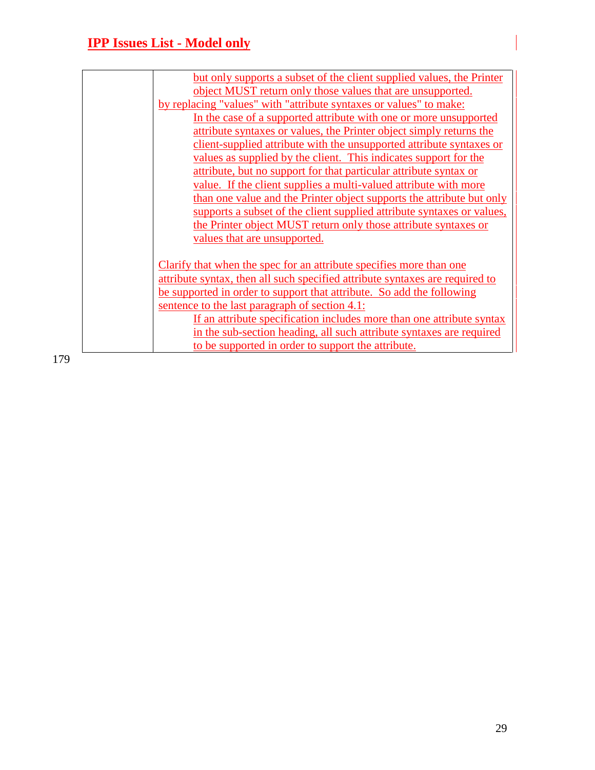| but only supports a subset of the client supplied values, the Printer        |
|------------------------------------------------------------------------------|
| object MUST return only those values that are unsupported.                   |
| by replacing "values" with "attribute syntaxes or values" to make:           |
| In the case of a supported attribute with one or more unsupported            |
| attribute syntaxes or values, the Printer object simply returns the          |
| client-supplied attribute with the unsupported attribute syntaxes or         |
| values as supplied by the client. This indicates support for the             |
| attribute, but no support for that particular attribute syntax or            |
| value. If the client supplies a multi-valued attribute with more             |
| than one value and the Printer object supports the attribute but only        |
| supports a subset of the client supplied attribute syntaxes or values,       |
| the Printer object MUST return only those attribute syntaxes or              |
| values that are unsupported.                                                 |
|                                                                              |
| Clarify that when the spec for an attribute specifies more than one          |
| attribute syntax, then all such specified attribute syntaxes are required to |
| be supported in order to support that attribute. So add the following        |
| sentence to the last paragraph of section 4.1:                               |
| If an attribute specification includes more than one attribute syntax        |
| in the sub-section heading, all such attribute syntaxes are required         |
| to be supported in order to support the attribute.                           |
|                                                                              |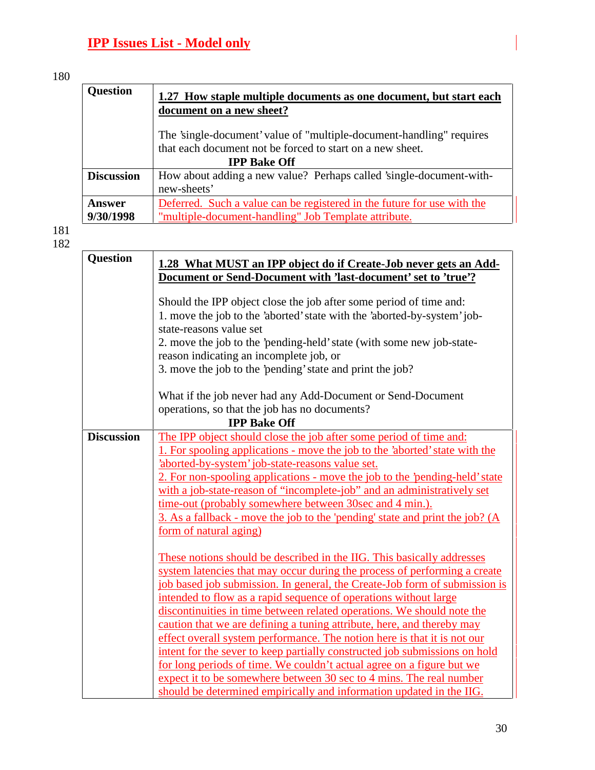| <b>Question</b>     | 1.27 How staple multiple documents as one document, but start each<br>document on a new sheet?                                                           |
|---------------------|----------------------------------------------------------------------------------------------------------------------------------------------------------|
|                     | The 'single-document' value of "multiple-document-handling" requires<br>that each document not be forced to start on a new sheet.<br><b>IPP Bake Off</b> |
| <b>Discussion</b>   | How about adding a new value? Perhaps called 'single-document-with-<br>new-sheets'                                                                       |
| Answer<br>9/30/1998 | Deferred. Such a value can be registered in the future for use with the<br>"multiple-document-handling" Job Template attribute.                          |

| <b>Question</b>   | 1.28 What MUST an IPP object do if Create-Job never gets an Add-               |
|-------------------|--------------------------------------------------------------------------------|
|                   | Document or Send-Document with 'last-document' set to 'true'?                  |
|                   |                                                                                |
|                   | Should the IPP object close the job after some period of time and:             |
|                   | 1. move the job to the 'aborted' state with the 'aborted-by-system' job-       |
|                   | state-reasons value set                                                        |
|                   | 2. move the job to the 'pending-held' state (with some new job-state-          |
|                   | reason indicating an incomplete job, or                                        |
|                   |                                                                                |
|                   | 3. move the job to the 'pending' state and print the job?                      |
|                   | What if the job never had any Add-Document or Send-Document                    |
|                   | operations, so that the job has no documents?                                  |
|                   | <b>IPP Bake Off</b>                                                            |
| <b>Discussion</b> | The IPP object should close the job after some period of time and:             |
|                   |                                                                                |
|                   | 1. For spooling applications - move the job to the 'aborted' state with the    |
|                   | 'aborted-by-system' job-state-reasons value set.                               |
|                   | 2. For non-spooling applications - move the job to the 'pending-held' state    |
|                   | with a job-state-reason of "incomplete-job" and an administratively set        |
|                   | time-out (probably somewhere between 30sec and 4 min.).                        |
|                   | 3. As a fallback - move the job to the 'pending' state and print the job? $(A$ |
|                   | form of natural aging)                                                         |
|                   |                                                                                |
|                   | These notions should be described in the IIG. This basically addresses         |
|                   | system latencies that may occur during the process of performing a create      |
|                   | job based job submission. In general, the Create-Job form of submission is     |
|                   | intended to flow as a rapid sequence of operations without large               |
|                   | discontinuities in time between related operations. We should note the         |
|                   | caution that we are defining a tuning attribute, here, and thereby may         |
|                   | effect overall system performance. The notion here is that it is not our       |
|                   | intent for the sever to keep partially constructed job submissions on hold     |
|                   | for long periods of time. We couldn't actual agree on a figure but we          |
|                   | expect it to be somewhere between 30 sec to 4 mins. The real number            |
|                   | should be determined empirically and information updated in the IIG.           |
|                   |                                                                                |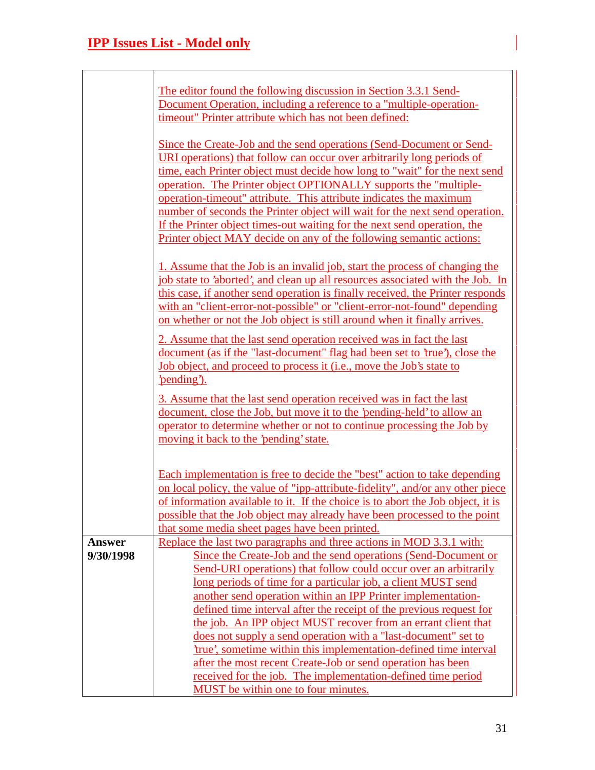|               | The editor found the following discussion in Section 3.3.1 Send-                                                                                                                                                                                |
|---------------|-------------------------------------------------------------------------------------------------------------------------------------------------------------------------------------------------------------------------------------------------|
|               | Document Operation, including a reference to a "multiple-operation-                                                                                                                                                                             |
|               | timeout" Printer attribute which has not been defined:                                                                                                                                                                                          |
|               | Since the Create-Job and the send operations (Send-Document or Send-<br>URI operations) that follow can occur over arbitrarily long periods of                                                                                                  |
|               |                                                                                                                                                                                                                                                 |
|               | time, each Printer object must decide how long to "wait" for the next send                                                                                                                                                                      |
|               | operation. The Printer object OPTIONALLY supports the "multiple-<br>operation-timeout" attribute. This attribute indicates the maximum                                                                                                          |
|               |                                                                                                                                                                                                                                                 |
|               | number of seconds the Printer object will wait for the next send operation.                                                                                                                                                                     |
|               | If the Printer object times-out waiting for the next send operation, the                                                                                                                                                                        |
|               | Printer object MAY decide on any of the following semantic actions:                                                                                                                                                                             |
|               | 1. Assume that the Job is an invalid job, start the process of changing the<br>job state to 'aborted', and clean up all resources associated with the Job. In<br>this case, if another send operation is finally received, the Printer responds |
|               | with an "client-error-not-possible" or "client-error-not-found" depending<br>on whether or not the Job object is still around when it finally arrives.                                                                                          |
|               | 2. Assume that the last send operation received was in fact the last                                                                                                                                                                            |
|               | document (as if the "last-document" flag had been set to 'true'), close the                                                                                                                                                                     |
|               | Job object, and proceed to process it (i.e., move the Job's state to                                                                                                                                                                            |
|               | 'pending').                                                                                                                                                                                                                                     |
|               |                                                                                                                                                                                                                                                 |
|               | 3. Assume that the last send operation received was in fact the last                                                                                                                                                                            |
|               | document, close the Job, but move it to the 'pending-held' to allow an                                                                                                                                                                          |
|               | operator to determine whether or not to continue processing the Job by                                                                                                                                                                          |
|               | moving it back to the 'pending' state.                                                                                                                                                                                                          |
|               |                                                                                                                                                                                                                                                 |
|               | Each implementation is free to decide the "best" action to take depending                                                                                                                                                                       |
|               | on local policy, the value of "ipp-attribute-fidelity", and/or any other piece                                                                                                                                                                  |
|               | of information available to it. If the choice is to abort the Job object, it is                                                                                                                                                                 |
|               | possible that the Job object may already have been processed to the point                                                                                                                                                                       |
| <b>Answer</b> | that some media sheet pages have been printed.                                                                                                                                                                                                  |
| 9/30/1998     | Replace the last two paragraphs and three actions in MOD 3.3.1 with:<br>Since the Create-Job and the send operations (Send-Document or                                                                                                          |
|               | Send-URI operations) that follow could occur over an arbitrarily                                                                                                                                                                                |
|               | long periods of time for a particular job, a client MUST send                                                                                                                                                                                   |
|               | another send operation within an IPP Printer implementation-                                                                                                                                                                                    |
|               | defined time interval after the receipt of the previous request for                                                                                                                                                                             |
|               | the job. An IPP object MUST recover from an errant client that                                                                                                                                                                                  |
|               | does not supply a send operation with a "last-document" set to                                                                                                                                                                                  |
|               | <u>true', sometime within this implementation-defined time interval</u>                                                                                                                                                                         |
|               | after the most recent Create-Job or send operation has been                                                                                                                                                                                     |
|               | received for the job. The implementation-defined time period                                                                                                                                                                                    |
|               | MUST be within one to four minutes.                                                                                                                                                                                                             |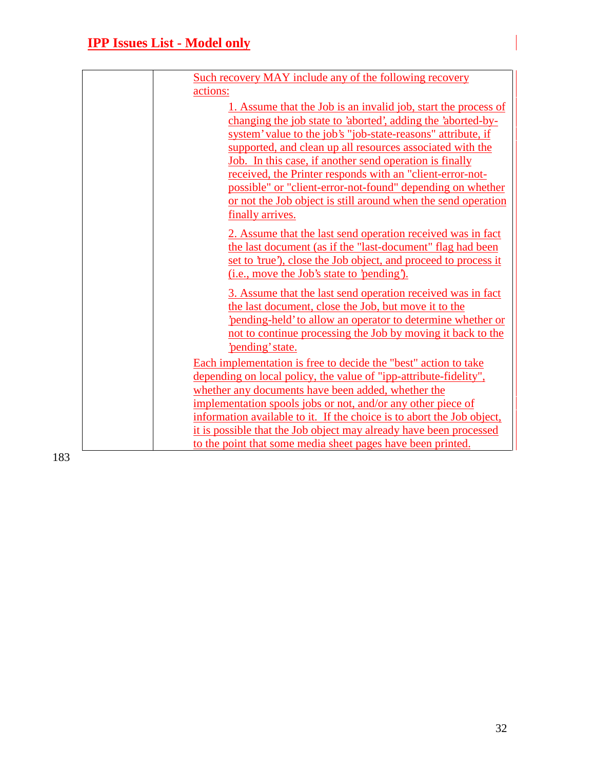| Such recovery MAY include any of the following recovery                                                                           |
|-----------------------------------------------------------------------------------------------------------------------------------|
| actions:                                                                                                                          |
| 1. Assume that the Job is an invalid job, start the process of                                                                    |
| changing the job state to 'aborted', adding the 'aborted-by-                                                                      |
| system' value to the job's "job-state-reasons" attribute, if                                                                      |
| supported, and clean up all resources associated with the                                                                         |
| Job. In this case, if another send operation is finally                                                                           |
| received, the Printer responds with an "client-error-not-                                                                         |
| possible" or "client-error-not-found" depending on whether                                                                        |
| or not the Job object is still around when the send operation                                                                     |
| finally arrives.                                                                                                                  |
| 2. Assume that the last send operation received was in fact                                                                       |
| the last document (as if the "last-document" flag had been                                                                        |
| set to 'true'), close the Job object, and proceed to process it                                                                   |
| (i.e., move the Job's state to 'pending').                                                                                        |
| 3. Assume that the last send operation received was in fact                                                                       |
| the last document, close the Job, but move it to the                                                                              |
| pending-held' to allow an operator to determine whether or                                                                        |
| not to continue processing the Job by moving it back to the                                                                       |
| 'pending' state.                                                                                                                  |
| Each implementation is free to decide the "best" action to take                                                                   |
| depending on local policy, the value of "ipp-attribute-fidelity",                                                                 |
| whether any documents have been added, whether the                                                                                |
| implementation spools jobs or not, and/or any other piece of                                                                      |
| information available to it. If the choice is to abort the Job object,                                                            |
| it is possible that the Job object may already have been processed<br>to the point that some media sheet pages have been printed. |
|                                                                                                                                   |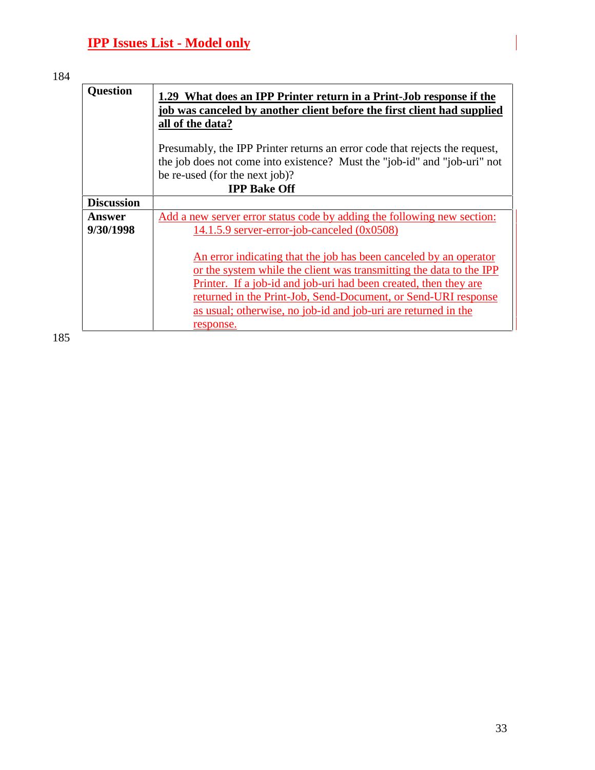### 184

| <b>Question</b>     | 1.29 What does an IPP Printer return in a Print-Job response if the                                                                                                                                                                                                                                                                                           |
|---------------------|---------------------------------------------------------------------------------------------------------------------------------------------------------------------------------------------------------------------------------------------------------------------------------------------------------------------------------------------------------------|
|                     | job was canceled by another client before the first client had supplied<br>all of the data?                                                                                                                                                                                                                                                                   |
|                     | Presumably, the IPP Printer returns an error code that rejects the request,<br>the job does not come into existence? Must the "job-id" and "job-uri" not<br>be re-used (for the next job)?<br><b>IPP Bake Off</b>                                                                                                                                             |
| <b>Discussion</b>   |                                                                                                                                                                                                                                                                                                                                                               |
| Answer<br>9/30/1998 | Add a new server error status code by adding the following new section:<br>$14.1.5.9$ server-error-job-canceled $(0x0508)$                                                                                                                                                                                                                                    |
|                     | An error indicating that the job has been canceled by an operator<br>or the system while the client was transmitting the data to the IPP<br>Printer. If a job-id and job-uri had been created, then they are<br>returned in the Print-Job, Send-Document, or Send-URI response<br>as usual; otherwise, no job-id and job-uri are returned in the<br>response. |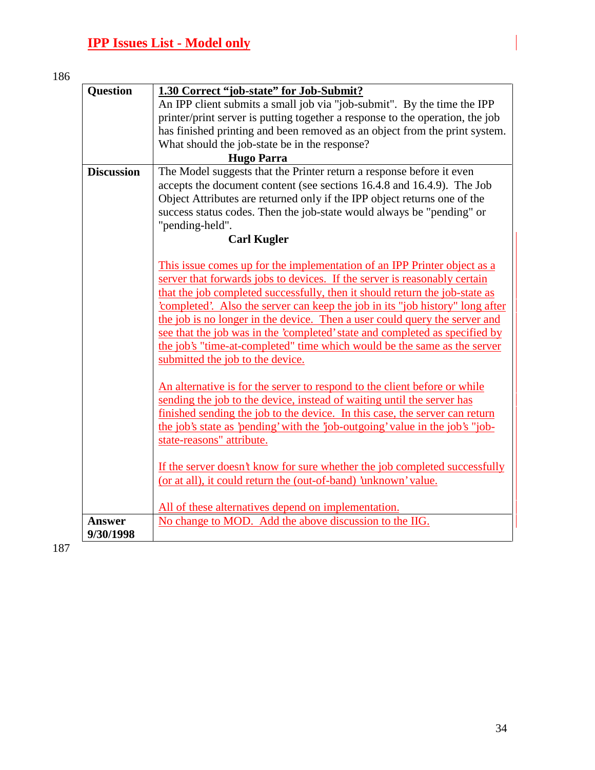| <b>Question</b>   | 1.30 Correct "job-state" for Job-Submit?                                      |
|-------------------|-------------------------------------------------------------------------------|
|                   | An IPP client submits a small job via "job-submit". By the time the IPP       |
|                   | printer/print server is putting together a response to the operation, the job |
|                   | has finished printing and been removed as an object from the print system.    |
|                   | What should the job-state be in the response?                                 |
|                   | <b>Hugo Parra</b>                                                             |
| <b>Discussion</b> | The Model suggests that the Printer return a response before it even          |
|                   | accepts the document content (see sections 16.4.8 and 16.4.9). The Job        |
|                   | Object Attributes are returned only if the IPP object returns one of the      |
|                   | success status codes. Then the job-state would always be "pending" or         |
|                   | "pending-held".                                                               |
|                   | <b>Carl Kugler</b>                                                            |
|                   | This issue comes up for the implementation of an IPP Printer object as a      |
|                   | server that forwards jobs to devices. If the server is reasonably certain     |
|                   | that the job completed successfully, then it should return the job-state as   |
|                   | completed. Also the server can keep the job in its "job history" long after   |
|                   | the job is no longer in the device. Then a user could query the server and    |
|                   | see that the job was in the 'completed' state and completed as specified by   |
|                   | the job's "time-at-completed" time which would be the same as the server      |
|                   | submitted the job to the device.                                              |
|                   | An alternative is for the server to respond to the client before or while     |
|                   | sending the job to the device, instead of waiting until the server has        |
|                   | finished sending the job to the device. In this case, the server can return   |
|                   | the job's state as 'pending' with the 'job-outgoing' value in the job's "job- |
|                   | state-reasons" attribute.                                                     |
|                   |                                                                               |
|                   | If the server doesn't know for sure whether the job completed successfully    |
|                   | (or at all), it could return the (out-of-band) 'unknown' value.               |
|                   |                                                                               |
|                   | All of these alternatives depend on implementation.                           |
| <b>Answer</b>     | No change to MOD. Add the above discussion to the IIG.                        |
| 9/30/1998         |                                                                               |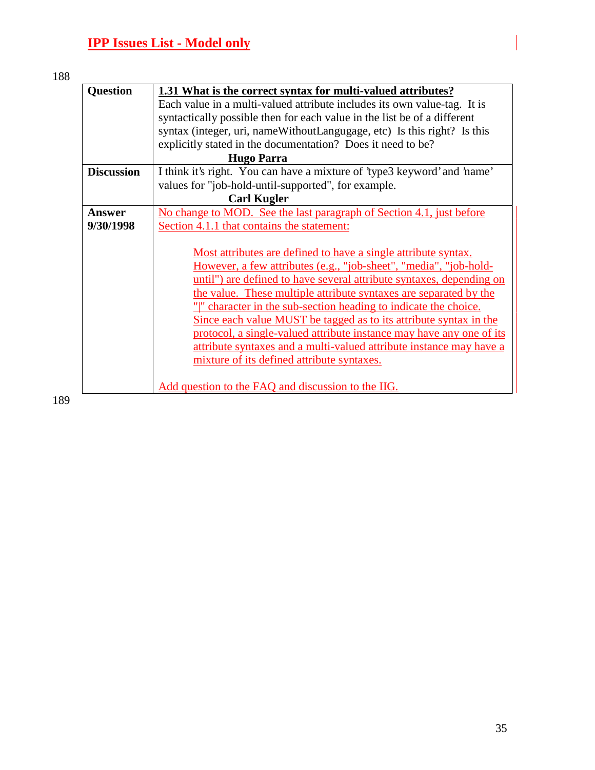| <b>Question</b>   | 1.31 What is the correct syntax for multi-valued attributes?              |
|-------------------|---------------------------------------------------------------------------|
|                   | Each value in a multi-valued attribute includes its own value-tag. It is  |
|                   | syntactically possible then for each value in the list be of a different  |
|                   | syntax (integer, uri, name Without Langugage, etc) Is this right? Is this |
|                   | explicitly stated in the documentation? Does it need to be?               |
|                   | <b>Hugo Parra</b>                                                         |
| <b>Discussion</b> | I think it's right. You can have a mixture of 'type3 keyword' and 'name'  |
|                   | values for "job-hold-until-supported", for example.                       |
|                   | <b>Carl Kugler</b>                                                        |
| <b>Answer</b>     | No change to MOD. See the last paragraph of Section 4.1, just before      |
| 9/30/1998         | Section 4.1.1 that contains the statement:                                |
|                   |                                                                           |
|                   | Most attributes are defined to have a single attribute syntax.            |
|                   | However, a few attributes (e.g., "job-sheet", "media", "job-hold-         |
|                   | until") are defined to have several attribute syntaxes, depending on      |
|                   | the value. These multiple attribute syntaxes are separated by the         |
|                   | <u>" " character in the sub-section heading to indicate the choice.</u>   |
|                   | Since each value MUST be tagged as to its attribute syntax in the         |
|                   | protocol, a single-valued attribute instance may have any one of its      |
|                   | attribute syntaxes and a multi-valued attribute instance may have a       |
|                   | mixture of its defined attribute syntaxes.                                |
|                   |                                                                           |
|                   | Add question to the FAQ and discussion to the IIG.                        |
|                   |                                                                           |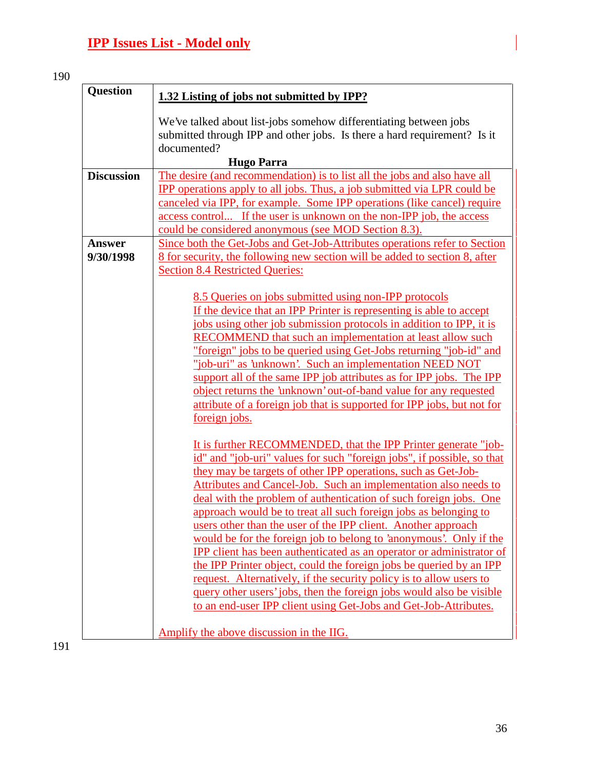| <b>Question</b>   | 1.32 Listing of jobs not submitted by IPP?                                                                                                                                                                                                                                           |
|-------------------|--------------------------------------------------------------------------------------------------------------------------------------------------------------------------------------------------------------------------------------------------------------------------------------|
|                   | We've talked about list-jobs somehow differentiating between jobs<br>submitted through IPP and other jobs. Is there a hard requirement? Is it<br>documented?<br><b>Hugo Parra</b>                                                                                                    |
| <b>Discussion</b> | The desire (and recommendation) is to list all the jobs and also have all                                                                                                                                                                                                            |
|                   | IPP operations apply to all jobs. Thus, a job submitted via LPR could be<br>canceled via IPP, for example. Some IPP operations (like cancel) require<br>access control If the user is unknown on the non-IPP job, the access<br>could be considered anonymous (see MOD Section 8.3). |
| <b>Answer</b>     | Since both the Get-Jobs and Get-Job-Attributes operations refer to Section                                                                                                                                                                                                           |
| 9/30/1998         | <u>8 for security, the following new section will be added to section 8, after</u>                                                                                                                                                                                                   |
|                   | <b>Section 8.4 Restricted Queries:</b>                                                                                                                                                                                                                                               |
|                   | 8.5 Queries on jobs submitted using non-IPP protocols<br>If the device that an IPP Printer is representing is able to accept                                                                                                                                                         |
|                   | jobs using other job submission protocols in addition to IPP, it is                                                                                                                                                                                                                  |
|                   | RECOMMEND that such an implementation at least allow such                                                                                                                                                                                                                            |
|                   | "foreign" jobs to be queried using Get-Jobs returning "job-id" and                                                                                                                                                                                                                   |
|                   | "job-uri" as 'unknown'. Such an implementation NEED NOT                                                                                                                                                                                                                              |
|                   | support all of the same IPP job attributes as for IPP jobs. The IPP                                                                                                                                                                                                                  |
|                   | object returns the 'unknown' out-of-band value for any requested<br>attribute of a foreign job that is supported for IPP jobs, but not for                                                                                                                                           |
|                   | foreign jobs.                                                                                                                                                                                                                                                                        |
|                   |                                                                                                                                                                                                                                                                                      |
|                   | It is further RECOMMENDED, that the IPP Printer generate "job-                                                                                                                                                                                                                       |
|                   | id" and "job-uri" values for such "foreign jobs", if possible, so that                                                                                                                                                                                                               |
|                   | they may be targets of other IPP operations, such as Get-Job-                                                                                                                                                                                                                        |
|                   | Attributes and Cancel-Job. Such an implementation also needs to<br>deal with the problem of authentication of such foreign jobs. One                                                                                                                                                 |
|                   | approach would be to treat all such foreign jobs as belonging to                                                                                                                                                                                                                     |
|                   | users other than the user of the IPP client. Another approach                                                                                                                                                                                                                        |
|                   | would be for the foreign job to belong to 'anonymous'. Only if the                                                                                                                                                                                                                   |
|                   | IPP client has been authenticated as an operator or administrator of                                                                                                                                                                                                                 |
|                   | the IPP Printer object, could the foreign jobs be queried by an IPP                                                                                                                                                                                                                  |
|                   | request. Alternatively, if the security policy is to allow users to<br>query other users' jobs, then the foreign jobs would also be visible                                                                                                                                          |
|                   | to an end-user IPP client using Get-Jobs and Get-Job-Attributes.                                                                                                                                                                                                                     |
|                   |                                                                                                                                                                                                                                                                                      |
|                   | Amplify the above discussion in the IIG.                                                                                                                                                                                                                                             |
|                   |                                                                                                                                                                                                                                                                                      |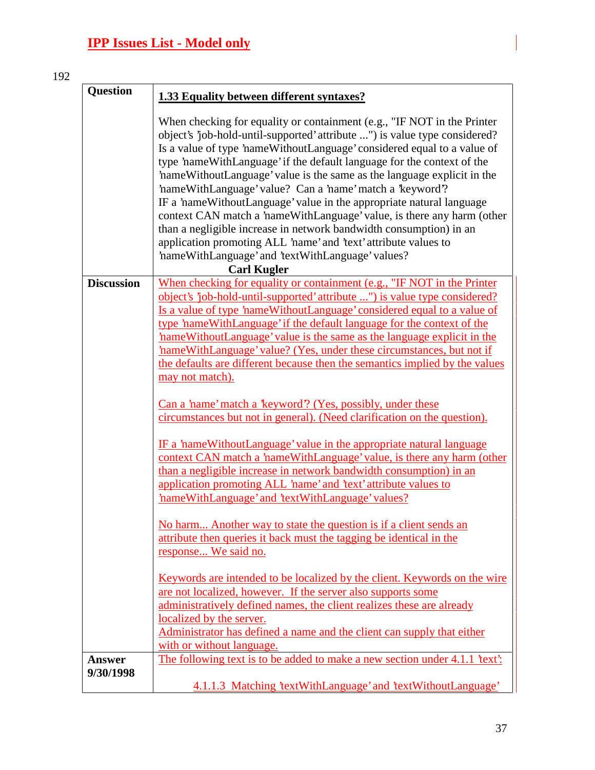| <b>Question</b>            | <b>1.33 Equality between different syntaxes?</b>                                                                                                                                                                                                                                                                                                                                                                                                                                                                                                                                                                                                                                                                                                                                                                         |
|----------------------------|--------------------------------------------------------------------------------------------------------------------------------------------------------------------------------------------------------------------------------------------------------------------------------------------------------------------------------------------------------------------------------------------------------------------------------------------------------------------------------------------------------------------------------------------------------------------------------------------------------------------------------------------------------------------------------------------------------------------------------------------------------------------------------------------------------------------------|
|                            | When checking for equality or containment (e.g., "IF NOT in the Printer<br>object's 'job-hold-until-supported' attribute ") is value type considered?<br>Is a value of type 'nameWithoutLanguage' considered equal to a value of<br>type 'nameWithLanguage' if the default language for the context of the<br>'nameWithoutLanguage' value is the same as the language explicit in the<br>'nameWithLanguage' value? Can a 'name' match a 'keyword'?<br>IF a 'nameWithoutLanguage' value in the appropriate natural language<br>context CAN match a 'nameWithLanguage' value, is there any harm (other<br>than a negligible increase in network bandwidth consumption) in an<br>application promoting ALL 'name' and 'text' attribute values to<br>'nameWithLanguage' and 'textWithLanguage' values?<br><b>Carl Kugler</b> |
| <b>Discussion</b>          | When checking for equality or containment (e.g., "IF NOT in the Printer                                                                                                                                                                                                                                                                                                                                                                                                                                                                                                                                                                                                                                                                                                                                                  |
|                            | object's 'job-hold-until-supported' attribute ") is value type considered?<br>Is a value of type 'nameWithoutLanguage' considered equal to a value of<br>type 'nameWithLanguage' if the default language for the context of the<br><u>'nameWithoutLanguage' value is the same as the language explicit in the</u><br>'nameWithLanguage' value? (Yes, under these circumstances, but not if<br>the defaults are different because then the semantics implied by the values<br>may not match).                                                                                                                                                                                                                                                                                                                             |
|                            | <u>Can a 'name' match a 'keyword'? (Yes, possibly, under these</u><br>circumstances but not in general). (Need clarification on the question).                                                                                                                                                                                                                                                                                                                                                                                                                                                                                                                                                                                                                                                                           |
|                            | IF a 'nameWithoutLanguage' value in the appropriate natural language<br>context CAN match a 'nameWithLanguage' value, is there any harm (other<br>than a negligible increase in network bandwidth consumption) in an<br>application promoting ALL 'name' and 'text' attribute values to<br>nameWithLanguage' and 'textWithLanguage' values?                                                                                                                                                                                                                                                                                                                                                                                                                                                                              |
|                            | No harm Another way to state the question is if a client sends an<br>attribute then queries it back must the tagging be identical in the<br>response We said no.                                                                                                                                                                                                                                                                                                                                                                                                                                                                                                                                                                                                                                                         |
|                            | Keywords are intended to be localized by the client. Keywords on the wire<br>are not localized, however. If the server also supports some<br>administratively defined names, the client realizes these are already<br>localized by the server.<br>Administrator has defined a name and the client can supply that either<br>with or without language.                                                                                                                                                                                                                                                                                                                                                                                                                                                                    |
| <b>Answer</b><br>9/30/1998 | The following text is to be added to make a new section under 4.1.1 'text':<br>4.1.1.3 Matching 'textWithLanguage' and 'textWithoutLanguage'                                                                                                                                                                                                                                                                                                                                                                                                                                                                                                                                                                                                                                                                             |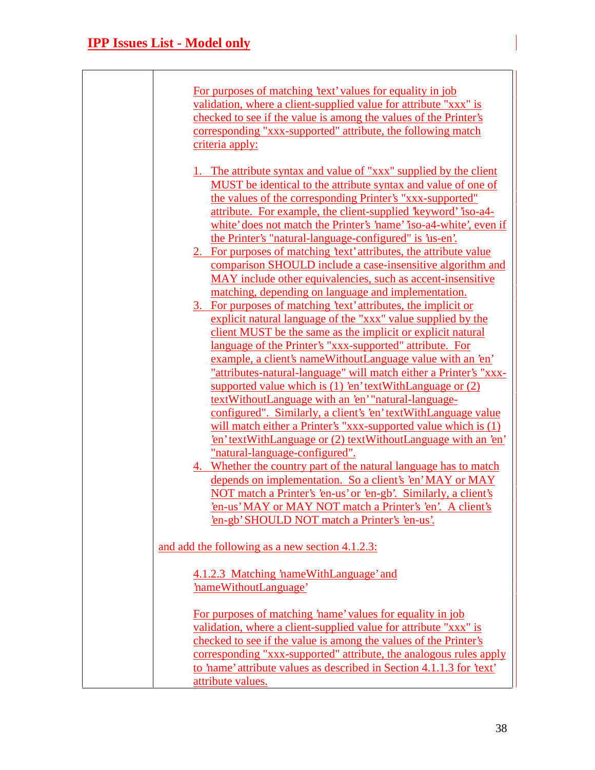| For purposes of matching 'text' values for equality in job               |
|--------------------------------------------------------------------------|
| validation, where a client-supplied value for attribute "xxx" is         |
| checked to see if the value is among the values of the Printer's         |
| corresponding "xxx-supported" attribute, the following match             |
| criteria apply:                                                          |
|                                                                          |
| <u>1. The attribute syntax and value of "xxx" supplied by the client</u> |
| MUST be identical to the attribute syntax and value of one of            |
| the values of the corresponding Printer's "xxx-supported"                |
| attribute. For example, the client-supplied 'keyword' 'iso-a4-           |
| white' does not match the Printer's 'name' 'iso-a4-white', even if       |
| the Printer's "natural-language-configured" is 'us-en'.                  |
| 2. For purposes of matching 'text' attributes, the attribute value       |
| comparison SHOULD include a case-insensitive algorithm and               |
| MAY include other equivalencies, such as accent-insensitive              |
| matching, depending on language and implementation.                      |
| 3. For purposes of matching 'text' attributes, the implicit or           |
| explicit natural language of the "xxx" value supplied by the             |
| client MUST be the same as the implicit or explicit natural              |
| language of the Printer's "xxx-supported" attribute. For                 |
| example, a client's nameWithoutLanguage value with an 'en'               |
| "attributes-natural-language" will match either a Printer's "xxx-        |
| supported value which is $(1)$ 'en' textWithLanguage or $(2)$            |
| textWithoutLanguage with an 'en' "natural-language-                      |
| configured". Similarly, a client's 'en' textWithLanguage value           |
| will match either a Printer's "xxx-supported value which is (1)          |
| 'en' textWithLanguage or (2) textWithoutLanguage with an 'en'            |
| "natural-language-configured".                                           |
| 4. Whether the country part of the natural language has to match         |
| depends on implementation. So a client's 'en' MAY or MAY                 |
| NOT match a Printer's 'en-us' or 'en-gb'. Similarly, a client's          |
| 'en-us' MAY or MAY NOT match a Printer's 'en'. A client's                |
| 'en-gb' SHOULD NOT match a Printer's 'en-us'.                            |
| and add the <u>following</u> as a new section 4.1.2.3:                   |
|                                                                          |
| 4.1.2.3 Matching 'nameWithLanguage' and                                  |
| 'nameWithoutLanguage'                                                    |
|                                                                          |
| For purposes of matching 'name' values for equality in job               |
| validation, where a client-supplied value for attribute "xxx" is         |
| checked to see if the value is among the values of the Printer's         |
| corresponding "xxx-supported" attribute, the analogous rules apply       |
| to 'name' attribute values as described in Section 4.1.1.3 for 'text'    |
| attribute values.                                                        |
|                                                                          |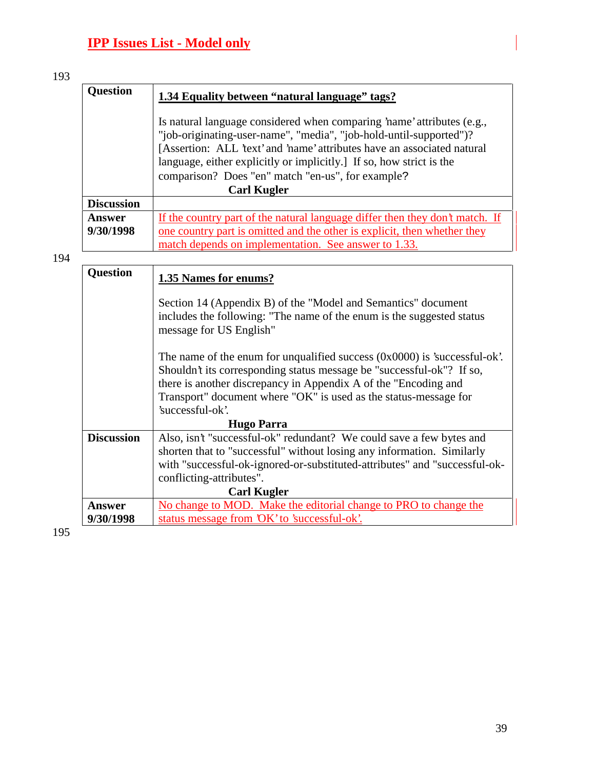| <b>Question</b>   | <b>1.34 Equality between "natural language" tags?</b>                                                                                                                                                                                                                                                                                                |
|-------------------|------------------------------------------------------------------------------------------------------------------------------------------------------------------------------------------------------------------------------------------------------------------------------------------------------------------------------------------------------|
|                   | Is natural language considered when comparing 'name' attributes (e.g.,<br>"job-originating-user-name", "media", "job-hold-until-supported")?<br>[Assertion: ALL 'text' and 'name' attributes have an associated natural<br>language, either explicitly or implicitly.] If so, how strict is the<br>comparison? Does "en" match "en-us", for example? |
|                   | <b>Carl Kugler</b>                                                                                                                                                                                                                                                                                                                                   |
| <b>Discussion</b> |                                                                                                                                                                                                                                                                                                                                                      |
| Answer            | If the country part of the natural language differ then they don't match. If                                                                                                                                                                                                                                                                         |
| 9/30/1998         | one country part is omitted and the other is explicit, then whether they<br>match depends on implementation. See answer to 1.33.                                                                                                                                                                                                                     |

194

| <b>Question</b>   | 1.35 Names for enums?                                                                                                                                                                                                                                                                                           |
|-------------------|-----------------------------------------------------------------------------------------------------------------------------------------------------------------------------------------------------------------------------------------------------------------------------------------------------------------|
|                   | Section 14 (Appendix B) of the "Model and Semantics" document<br>includes the following: "The name of the enum is the suggested status<br>message for US English"                                                                                                                                               |
|                   | The name of the enum for unqualified success $(0x0000)$ is 'successful-ok'.<br>Shouldn't its corresponding status message be "successful-ok"? If so,<br>there is another discrepancy in Appendix A of the "Encoding and<br>Transport" document where "OK" is used as the status-message for<br>'successful-ok'. |
|                   | <b>Hugo Parra</b>                                                                                                                                                                                                                                                                                               |
| <b>Discussion</b> | Also, isn't "successful-ok" redundant? We could save a few bytes and<br>shorten that to "successful" without losing any information. Similarly<br>with "successful-ok-ignored-or-substituted-attributes" and "successful-ok-<br>conflicting-attributes".                                                        |
|                   | <b>Carl Kugler</b>                                                                                                                                                                                                                                                                                              |
| Answer            | No change to MOD. Make the editorial change to PRO to change the                                                                                                                                                                                                                                                |
| 9/30/1998         | status message from 'OK' to 'successful-ok'.                                                                                                                                                                                                                                                                    |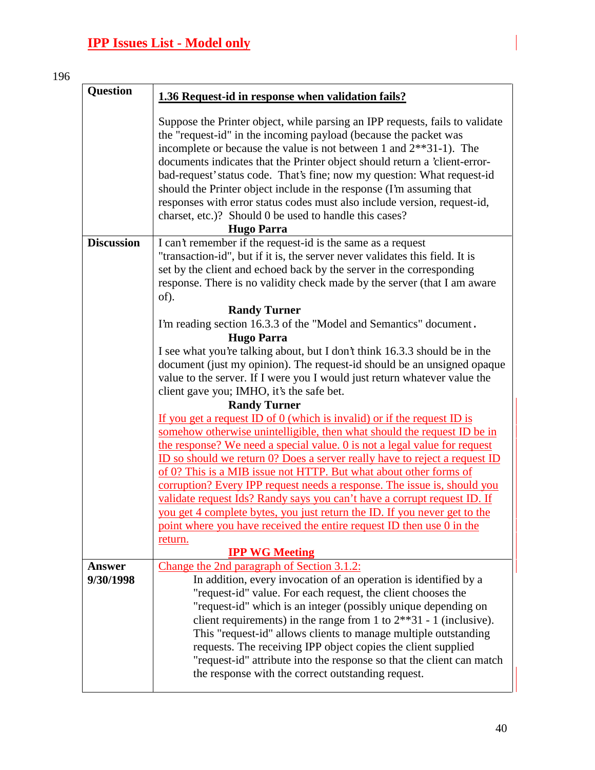| <b>Question</b>   | 1.36 Request-id in response when validation fails?                                                                                                                                                                                                                                                                                                                                                                                                                                                                                                                                                                       |
|-------------------|--------------------------------------------------------------------------------------------------------------------------------------------------------------------------------------------------------------------------------------------------------------------------------------------------------------------------------------------------------------------------------------------------------------------------------------------------------------------------------------------------------------------------------------------------------------------------------------------------------------------------|
|                   | Suppose the Printer object, while parsing an IPP requests, fails to validate<br>the "request-id" in the incoming payload (because the packet was<br>incomplete or because the value is not between 1 and $2^{**}31-1$ ). The<br>documents indicates that the Printer object should return a 'client-error-<br>bad-request' status code. That's fine; now my question: What request-id<br>should the Printer object include in the response (I'm assuming that<br>responses with error status codes must also include version, request-id,<br>charset, etc.)? Should 0 be used to handle this cases?<br><b>Hugo Parra</b> |
| <b>Discussion</b> | I can't remember if the request-id is the same as a request                                                                                                                                                                                                                                                                                                                                                                                                                                                                                                                                                              |
|                   | "transaction-id", but if it is, the server never validates this field. It is<br>set by the client and echoed back by the server in the corresponding<br>response. There is no validity check made by the server (that I am aware<br>of).                                                                                                                                                                                                                                                                                                                                                                                 |
|                   | <b>Randy Turner</b>                                                                                                                                                                                                                                                                                                                                                                                                                                                                                                                                                                                                      |
|                   | I'm reading section 16.3.3 of the "Model and Semantics" document.                                                                                                                                                                                                                                                                                                                                                                                                                                                                                                                                                        |
|                   | <b>Hugo Parra</b>                                                                                                                                                                                                                                                                                                                                                                                                                                                                                                                                                                                                        |
|                   | I see what you're talking about, but I don't think 16.3.3 should be in the                                                                                                                                                                                                                                                                                                                                                                                                                                                                                                                                               |
|                   | document (just my opinion). The request-id should be an unsigned opaque                                                                                                                                                                                                                                                                                                                                                                                                                                                                                                                                                  |
|                   | value to the server. If I were you I would just return whatever value the<br>client gave you; IMHO, it's the safe bet.                                                                                                                                                                                                                                                                                                                                                                                                                                                                                                   |
|                   | <b>Randy Turner</b>                                                                                                                                                                                                                                                                                                                                                                                                                                                                                                                                                                                                      |
|                   | If you get a request ID of $0$ (which is invalid) or if the request ID is                                                                                                                                                                                                                                                                                                                                                                                                                                                                                                                                                |
|                   | somehow otherwise unintelligible, then what should the request ID be in                                                                                                                                                                                                                                                                                                                                                                                                                                                                                                                                                  |
|                   | the response? We need a special value. 0 is not a legal value for request                                                                                                                                                                                                                                                                                                                                                                                                                                                                                                                                                |
|                   | <u>ID so should we return 0? Does a server really have to reject a request ID</u>                                                                                                                                                                                                                                                                                                                                                                                                                                                                                                                                        |
|                   | of 0? This is a MIB issue not HTTP. But what about other forms of                                                                                                                                                                                                                                                                                                                                                                                                                                                                                                                                                        |
|                   | corruption? Every IPP request needs a response. The issue is, should you                                                                                                                                                                                                                                                                                                                                                                                                                                                                                                                                                 |
|                   | validate request Ids? Randy says you can't have a corrupt request ID. If                                                                                                                                                                                                                                                                                                                                                                                                                                                                                                                                                 |
|                   | you get 4 complete bytes, you just return the ID. If you never get to the<br>point where you have received the entire request ID then use 0 in the                                                                                                                                                                                                                                                                                                                                                                                                                                                                       |
|                   | return.                                                                                                                                                                                                                                                                                                                                                                                                                                                                                                                                                                                                                  |
|                   | <b>IPP WG Meeting</b>                                                                                                                                                                                                                                                                                                                                                                                                                                                                                                                                                                                                    |
| <b>Answer</b>     | Change the 2nd paragraph of Section 3.1.2:                                                                                                                                                                                                                                                                                                                                                                                                                                                                                                                                                                               |
| 9/30/1998         | In addition, every invocation of an operation is identified by a                                                                                                                                                                                                                                                                                                                                                                                                                                                                                                                                                         |
|                   | "request-id" value. For each request, the client chooses the                                                                                                                                                                                                                                                                                                                                                                                                                                                                                                                                                             |
|                   | "request-id" which is an integer (possibly unique depending on                                                                                                                                                                                                                                                                                                                                                                                                                                                                                                                                                           |
|                   | client requirements) in the range from 1 to $2^{**}31 - 1$ (inclusive).                                                                                                                                                                                                                                                                                                                                                                                                                                                                                                                                                  |
|                   | This "request-id" allows clients to manage multiple outstanding                                                                                                                                                                                                                                                                                                                                                                                                                                                                                                                                                          |
|                   | requests. The receiving IPP object copies the client supplied<br>"request-id" attribute into the response so that the client can match                                                                                                                                                                                                                                                                                                                                                                                                                                                                                   |
|                   | the response with the correct outstanding request.                                                                                                                                                                                                                                                                                                                                                                                                                                                                                                                                                                       |
|                   |                                                                                                                                                                                                                                                                                                                                                                                                                                                                                                                                                                                                                          |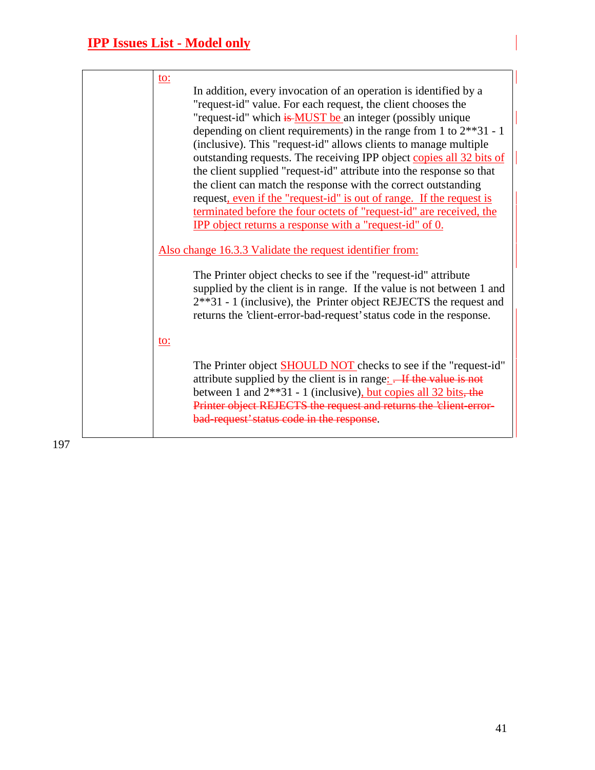| to:                                                                     |
|-------------------------------------------------------------------------|
| In addition, every invocation of an operation is identified by a        |
| "request-id" value. For each request, the client chooses the            |
| "request-id" which is MUST be an integer (possibly unique               |
| depending on client requirements) in the range from 1 to $2^{**}31 - 1$ |
| (inclusive). This "request-id" allows clients to manage multiple        |
| outstanding requests. The receiving IPP object copies all 32 bits of    |
| the client supplied "request-id" attribute into the response so that    |
| the client can match the response with the correct outstanding          |
| request, even if the "request-id" is out of range. If the request is    |
| terminated before the four octets of "request-id" are received, the     |
| <b>IPP</b> object returns a response with a "request-id" of 0.          |
|                                                                         |
| Also change 16.3.3 Validate the request identifier from:                |
| The Printer object checks to see if the "request-id" attribute          |
| supplied by the client is in range. If the value is not between 1 and   |
| $2**31 - 1$ (inclusive), the Printer object REJECTS the request and     |
| returns the 'client-error-bad-request' status code in the response.     |
|                                                                         |
| <u>to:</u>                                                              |
|                                                                         |
| The Printer object <b>SHOULD NOT</b> checks to see if the "request-id"  |
| attribute supplied by the client is in range: - If the value is not     |
| between 1 and $2^{**}31 - 1$ (inclusive), but copies all 32 bits, the   |
| Printer object REJECTS the request and returns the 'client error-       |
| bad-request' status code in the response.                               |
|                                                                         |
|                                                                         |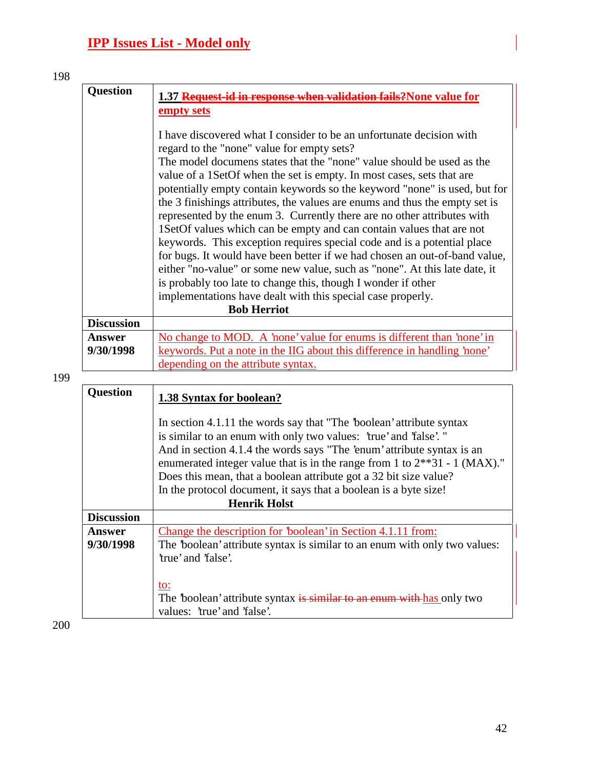| <b>Question</b>   | 1.37 Request-id in response when validation fails? None value for                                                                                     |
|-------------------|-------------------------------------------------------------------------------------------------------------------------------------------------------|
|                   | empty sets                                                                                                                                            |
|                   | I have discovered what I consider to be an unfortunate decision with<br>regard to the "none" value for empty sets?                                    |
|                   | The model documens states that the "none" value should be used as the                                                                                 |
|                   | value of a 1SetOf when the set is empty. In most cases, sets that are                                                                                 |
|                   | potentially empty contain keywords so the keyword "none" is used, but for                                                                             |
|                   | the 3 finishings attributes, the values are enums and thus the empty set is                                                                           |
|                   | represented by the enum 3. Currently there are no other attributes with                                                                               |
|                   | 1 Set Of values which can be empty and can contain values that are not                                                                                |
|                   | keywords. This exception requires special code and is a potential place<br>for bugs. It would have been better if we had chosen an out-of-band value, |
|                   | either "no-value" or some new value, such as "none". At this late date, it                                                                            |
|                   | is probably too late to change this, though I wonder if other                                                                                         |
|                   | implementations have dealt with this special case properly.                                                                                           |
|                   | <b>Bob Herriot</b>                                                                                                                                    |
| <b>Discussion</b> |                                                                                                                                                       |
| Answer            | No change to MOD. A 'none' value for enums is different than 'none' in                                                                                |
| 9/30/1998         | <u>keywords. Put a note in the IIG about this difference in handling 'none'</u>                                                                       |
|                   | depending on the attribute syntax.                                                                                                                    |

| <b>Question</b>   | 1.38 Syntax for boolean?                                                                                                                                                                                                                                                                                                                                                                                                                                             |
|-------------------|----------------------------------------------------------------------------------------------------------------------------------------------------------------------------------------------------------------------------------------------------------------------------------------------------------------------------------------------------------------------------------------------------------------------------------------------------------------------|
|                   | In section 4.1.11 the words say that "The boolean' attribute syntax<br>is similar to an enum with only two values: 'true' and 'false'. "<br>And in section 4.1.4 the words says "The 'enum' attribute syntax is an<br>enumerated integer value that is in the range from 1 to $2^{**}31 - 1$ (MAX)."<br>Does this mean, that a boolean attribute got a 32 bit size value?<br>In the protocol document, it says that a boolean is a byte size!<br><b>Henrik Holst</b> |
| <b>Discussion</b> |                                                                                                                                                                                                                                                                                                                                                                                                                                                                      |
| Answer            | Change the description for 'boolean' in Section 4.1.11 from:                                                                                                                                                                                                                                                                                                                                                                                                         |
| 9/30/1998         | The 'boolean' attribute syntax is similar to an enum with only two values:                                                                                                                                                                                                                                                                                                                                                                                           |
|                   | true' and 'false'.                                                                                                                                                                                                                                                                                                                                                                                                                                                   |
|                   | to:                                                                                                                                                                                                                                                                                                                                                                                                                                                                  |
|                   | The 'boolean' attribute syntax is similar to an enum with has only two                                                                                                                                                                                                                                                                                                                                                                                               |
|                   | values: 'true' and 'false'.                                                                                                                                                                                                                                                                                                                                                                                                                                          |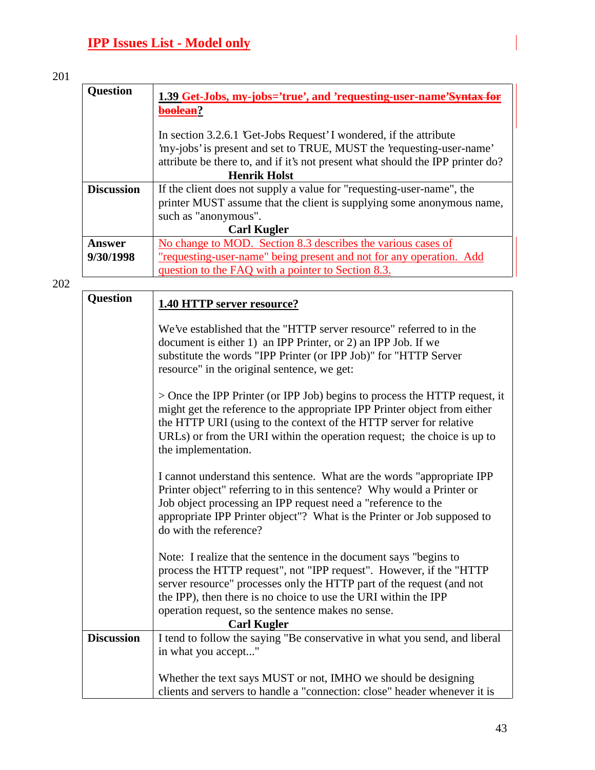| <b>Question</b>   | 1.39 Get-Jobs, my-jobs='true', and 'requesting-user-name' Syntax for           |
|-------------------|--------------------------------------------------------------------------------|
|                   | <del>hoolean</del> ?                                                           |
|                   | In section 3.2.6.1 'Get-Jobs Request' I wondered, if the attribute             |
|                   | 'my-jobs' is present and set to TRUE, MUST the 'requesting-user-name'          |
|                   | attribute be there to, and if it's not present what should the IPP printer do? |
|                   | <b>Henrik Holst</b>                                                            |
| <b>Discussion</b> | If the client does not supply a value for "requesting-user-name", the          |
|                   | printer MUST assume that the client is supplying some anonymous name,          |
|                   | such as "anonymous".                                                           |
|                   | <b>Carl Kugler</b>                                                             |
| <b>Answer</b>     | No change to MOD. Section 8.3 describes the various cases of                   |
| 9/30/1998         | "requesting-user-name" being present and not for any operation. Add            |
|                   | question to the FAQ with a pointer to Section 8.3.                             |

| <b>Question</b>   | <b>1.40 HTTP server resource?</b>                                                                                                                                                                                                                                                                                                                                |
|-------------------|------------------------------------------------------------------------------------------------------------------------------------------------------------------------------------------------------------------------------------------------------------------------------------------------------------------------------------------------------------------|
|                   | We've established that the "HTTP server resource" referred to in the<br>document is either 1) an IPP Printer, or 2) an IPP Job. If we<br>substitute the words "IPP Printer (or IPP Job)" for "HTTP Server<br>resource" in the original sentence, we get:                                                                                                         |
|                   | $>$ Once the IPP Printer (or IPP Job) begins to process the HTTP request, it<br>might get the reference to the appropriate IPP Printer object from either<br>the HTTP URI (using to the context of the HTTP server for relative<br>URLs) or from the URI within the operation request; the choice is up to<br>the implementation.                                |
|                   | I cannot understand this sentence. What are the words "appropriate IPP"<br>Printer object" referring to in this sentence? Why would a Printer or<br>Job object processing an IPP request need a "reference to the<br>appropriate IPP Printer object"? What is the Printer or Job supposed to<br>do with the reference?                                           |
|                   | Note: I realize that the sentence in the document says "begins to<br>process the HTTP request", not "IPP request". However, if the "HTTP<br>server resource" processes only the HTTP part of the request (and not<br>the IPP), then there is no choice to use the URI within the IPP<br>operation request, so the sentence makes no sense.<br><b>Carl Kugler</b> |
| <b>Discussion</b> | I tend to follow the saying "Be conservative in what you send, and liberal<br>in what you accept"                                                                                                                                                                                                                                                                |
|                   | Whether the text says MUST or not, IMHO we should be designing<br>clients and servers to handle a "connection: close" header whenever it is                                                                                                                                                                                                                      |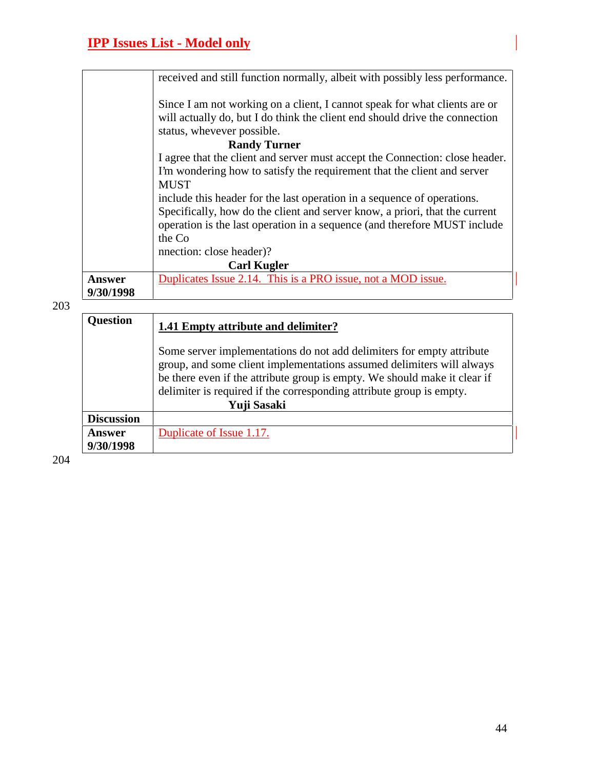|                   | received and still function normally, albeit with possibly less performance.                                                                                                                                                |
|-------------------|-----------------------------------------------------------------------------------------------------------------------------------------------------------------------------------------------------------------------------|
|                   | Since I am not working on a client, I cannot speak for what clients are or<br>will actually do, but I do think the client end should drive the connection<br>status, whevever possible.                                     |
|                   | <b>Randy Turner</b>                                                                                                                                                                                                         |
|                   | I agree that the client and server must accept the Connection: close header.<br>I'm wondering how to satisfy the requirement that the client and server<br><b>MUST</b>                                                      |
|                   | include this header for the last operation in a sequence of operations.                                                                                                                                                     |
|                   | Specifically, how do the client and server know, a priori, that the current                                                                                                                                                 |
|                   | operation is the last operation in a sequence (and therefore MUST include                                                                                                                                                   |
|                   | the Co                                                                                                                                                                                                                      |
|                   | nnection: close header)?                                                                                                                                                                                                    |
|                   | <b>Carl Kugler</b>                                                                                                                                                                                                          |
| <b>Answer</b>     | Duplicates Issue 2.14. This is a PRO issue, not a MOD issue.                                                                                                                                                                |
| 9/30/1998         |                                                                                                                                                                                                                             |
|                   |                                                                                                                                                                                                                             |
| <b>Question</b>   | 1.41 Empty attribute and delimiter?                                                                                                                                                                                         |
|                   | Some server implementations do not add delimiters for empty attribute<br>group, and some client implementations assumed delimiters will always<br>be there even if the attribute group is empty. We should make it clear if |
|                   | delimiter is required if the corresponding attribute group is empty.<br>Yuji Sasaki                                                                                                                                         |
| <b>Discussion</b> |                                                                                                                                                                                                                             |

**Answer 9/30/1998** Duplicate of Issue 1.17.

203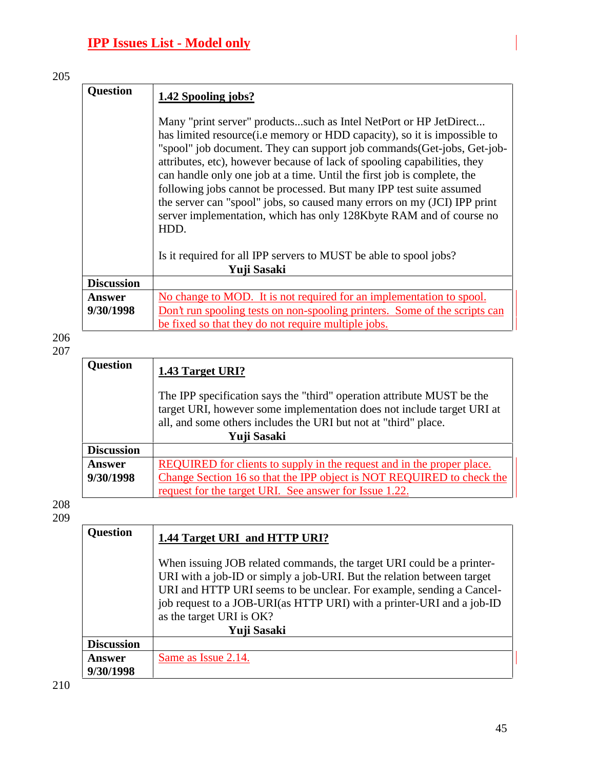| Question                   | 1.42 Spooling jobs?                                                                                                                                                                                                                                                                                                                                                                                                                                                                                                                                                                                               |
|----------------------------|-------------------------------------------------------------------------------------------------------------------------------------------------------------------------------------------------------------------------------------------------------------------------------------------------------------------------------------------------------------------------------------------------------------------------------------------------------------------------------------------------------------------------------------------------------------------------------------------------------------------|
|                            | Many "print server" productssuch as Intel NetPort or HP JetDirect<br>has limited resource (i.e memory or HDD capacity), so it is impossible to<br>"spool" job document. They can support job commands(Get-jobs, Get-job-<br>attributes, etc), however because of lack of spooling capabilities, they<br>can handle only one job at a time. Until the first job is complete, the<br>following jobs cannot be processed. But many IPP test suite assumed<br>the server can "spool" jobs, so caused many errors on my (JCI) IPP print<br>server implementation, which has only 128Kbyte RAM and of course no<br>HDD. |
|                            | Is it required for all IPP servers to MUST be able to spool jobs?<br>Yuji Sasaki                                                                                                                                                                                                                                                                                                                                                                                                                                                                                                                                  |
| <b>Discussion</b>          |                                                                                                                                                                                                                                                                                                                                                                                                                                                                                                                                                                                                                   |
| <b>Answer</b><br>9/30/1998 | No change to MOD. It is not required for an implementation to spool.<br>Don't run spooling tests on non-spooling printers. Some of the scripts can<br>be fixed so that they do not require multiple jobs.                                                                                                                                                                                                                                                                                                                                                                                                         |
| 206<br>207                 |                                                                                                                                                                                                                                                                                                                                                                                                                                                                                                                                                                                                                   |
| <b>Question</b>            | 1.43 Target URI?                                                                                                                                                                                                                                                                                                                                                                                                                                                                                                                                                                                                  |
|                            | The IPP specification says the "third" operation attribute MUST be the<br>target URI, however some implementation does not include target URI at                                                                                                                                                                                                                                                                                                                                                                                                                                                                  |

|                   | $1.70$ $1.41$ cut $0.1$                                                                                                                                                                                                            |
|-------------------|------------------------------------------------------------------------------------------------------------------------------------------------------------------------------------------------------------------------------------|
|                   | The IPP specification says the "third" operation attribute MUST be the<br>target URI, however some implementation does not include target URI at<br>all, and some others includes the URI but not at "third" place.<br>Yuji Sasaki |
| <b>Discussion</b> |                                                                                                                                                                                                                                    |
| Answer            | REQUIRED for clients to supply in the request and in the proper place.                                                                                                                                                             |
| 9/30/1998         | Change Section 16 so that the IPP object is NOT REQUIRED to check the                                                                                                                                                              |
|                   | request for the target URI. See answer for Issue 1.22.                                                                                                                                                                             |

| <b>Question</b>            | 1.44 Target URI and HTTP URI?                                                                                                                                                                                                                                                                                                               |
|----------------------------|---------------------------------------------------------------------------------------------------------------------------------------------------------------------------------------------------------------------------------------------------------------------------------------------------------------------------------------------|
|                            | When issuing JOB related commands, the target URI could be a printer-<br>URI with a job-ID or simply a job-URI. But the relation between target<br>URI and HTTP URI seems to be unclear. For example, sending a Cancel-<br>job request to a JOB-URI(as HTTP URI) with a printer-URI and a job-ID<br>as the target URI is OK?<br>Yuji Sasaki |
| <b>Discussion</b>          |                                                                                                                                                                                                                                                                                                                                             |
| <b>Answer</b><br>9/30/1998 | Same as Issue 2.14.                                                                                                                                                                                                                                                                                                                         |